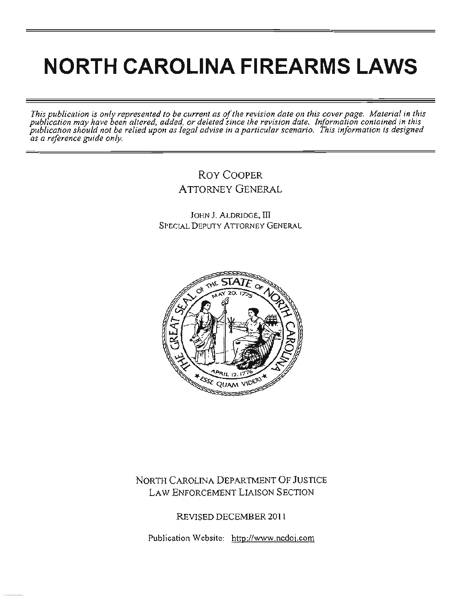# **NORTH CAROLINA FIREARMS LAWS**

*This publication is only represented to be current as of the revision date on this cover page. Material in this pubbea/ion may have been altered. added, or deleted since the revision date. Information contained in this*  publication may have been alloved, added, or acteded since the verticular added in permation comation is designed<br>publication should not be relied upon as legal advise in a particular scenario. This information is designed *as a reference guide only.* 

# Roy COOPER ATTORNEY GENERAL

JOHN J. ALDRIDGE, III SPECIAL DEPUTY ATTORNEY GENERAL



# NORTH CAROLINA DEPARTMENT OF JUSTICE LAW ENFORCEMENT LIAISON SECTION

REVISED DECEMBER 201 1

Publication Website: http://www.ncdoj.com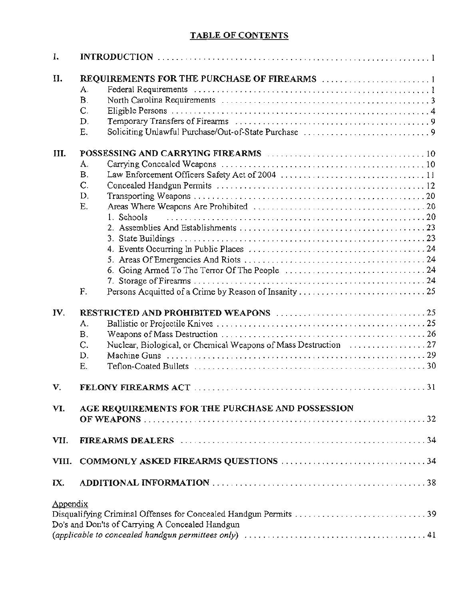# TABLE OF CONTENTS

| I.                                                                                                                                      |                                                  |
|-----------------------------------------------------------------------------------------------------------------------------------------|--------------------------------------------------|
| II.                                                                                                                                     |                                                  |
|                                                                                                                                         | A.                                               |
|                                                                                                                                         | Β.                                               |
|                                                                                                                                         | C.                                               |
|                                                                                                                                         |                                                  |
|                                                                                                                                         | D.                                               |
|                                                                                                                                         | Е.                                               |
| III.                                                                                                                                    |                                                  |
|                                                                                                                                         | A.                                               |
|                                                                                                                                         | В.                                               |
|                                                                                                                                         | C.                                               |
|                                                                                                                                         | D.                                               |
|                                                                                                                                         | Ε.                                               |
|                                                                                                                                         |                                                  |
|                                                                                                                                         | 1. Schools                                       |
|                                                                                                                                         |                                                  |
|                                                                                                                                         |                                                  |
|                                                                                                                                         |                                                  |
|                                                                                                                                         |                                                  |
|                                                                                                                                         |                                                  |
|                                                                                                                                         |                                                  |
|                                                                                                                                         | F.                                               |
| IV.                                                                                                                                     |                                                  |
|                                                                                                                                         | A.                                               |
|                                                                                                                                         |                                                  |
|                                                                                                                                         | B.                                               |
|                                                                                                                                         | C.                                               |
|                                                                                                                                         | D.                                               |
|                                                                                                                                         | Е.                                               |
| V.                                                                                                                                      | FELONY FIREARMS ACT<br>$\ldots$ 31               |
|                                                                                                                                         |                                                  |
| VI.                                                                                                                                     | AGE REQUIREMENTS FOR THE PURCHASE AND POSSESSION |
|                                                                                                                                         |                                                  |
|                                                                                                                                         |                                                  |
| VII.                                                                                                                                    |                                                  |
| VIII.                                                                                                                                   |                                                  |
|                                                                                                                                         |                                                  |
| IX.                                                                                                                                     |                                                  |
| Appendix                                                                                                                                |                                                  |
|                                                                                                                                         |                                                  |
|                                                                                                                                         |                                                  |
|                                                                                                                                         | Do's and Don'ts of Carrying A Concealed Handgun  |
| (applicable to concealed handgun permittees only) $\ldots \ldots \ldots \ldots \ldots \ldots \ldots \ldots \ldots \ldots \ldots \ldots$ |                                                  |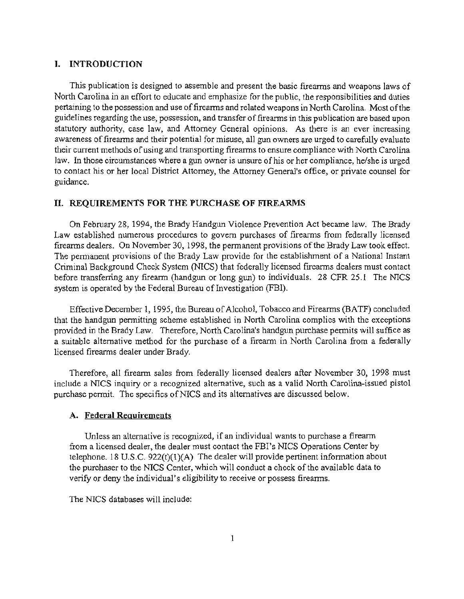## I. INTRODUCTION

This publication is designed to assemble and present the basic firearms and weapons laws of North Carolina in an effort to educate and emphasize for the public, the responsibilities and duties pertaining to the possession and use of firearms and related weapons in North Carolina. Most of the guidelines regarding the use, possession, and transfer of firearms in this publication are based upon statutory authority, case law, and Attorney General opinions. As there is an ever increasing awareness of firearms and their potential for misuse, all gun owners are urged to carefully evaluate their current methods of using and transporting firearms to ensure compliance with North Carolina law. In those circumstances where a gun owner is unsure of his or her compliance, he/she is urged to contact his or her local District Attorney, the Attorney General's office, or private counsel for guidance.

## II. REQUIREMENTS FOR THE PURCHASE OF FIREARMS

On February 28, 1994, the Brady Handgun Violence Prevention Act became law. The Brady Law established numerous procedures to govern purchases of firearms from federally licensed firearms dealers. On November 30, 1998, the permanent provisions of the Brady Law took effect. The permanent provisions of the Brady Law provide for the establishment of a National Instant Criminal Background Check System (NICS) that federally licensed firearms dealers must contact before transferring any firearm (handgun or long gun) to individuals. 28 CFR 25.1 The NICS system is operated by the Federal Bureau of Investigation (FBI).

Effective December 1, 1995, the Bureau of Alcohol, Tobacco and Firearms (BATF) concluded that the handgun permitting scheme established in North Carolina complies with the exceptions provided in the Brady Law. Therefore, North Carolina's handgun purchase permits will suffice as a suitable alternative method for the purchase of a firearm in North Carolina from a federally licensed firearms dealer under Brady.

Therefore, all firearm sales from federally licensed dealers after November 30, 1998 must include a NICS inquiry or a recognized alternative, such as a valid North Carolina-issued pistol purchase permit. The specifics of NICS and its alternatives are discussed below.

#### A. Federal Requirements

Unless an alternative is recognized, if an individual wants to purchase a firearm from a licensed dealer, the dealer must contact the FBI's NICS Operations Center by telephone. 18 U.S.C.  $922(t)(1)(A)$  The dealer will provide pertinent information about the purchaser to the NICS Center, which will conduct a check of the available data to verify or deny the individual's eligibility to receive or possess firearms.

The NICS databases will include: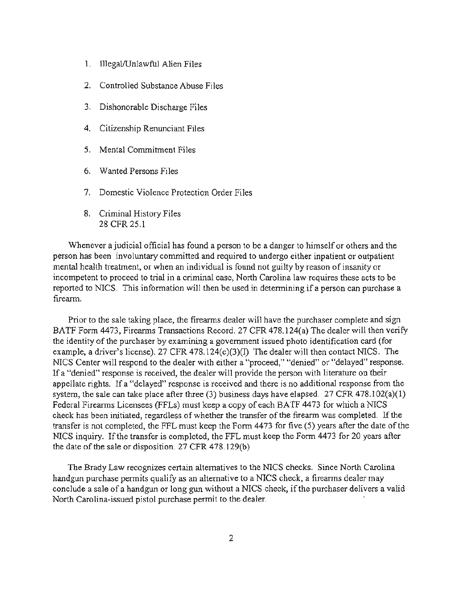- l. Il1egaVUnlawful Alien Files
- 2. Controlled Substance Abuse Files
- 3. Dishonorable Discharge Files
- 4. Citizenship Renunciant Files
- 5. Mental Commitment Files
- 6. Wanted Persons Files
- 7. Domestic Violence Protection Order Files
- 8. Criminal History Files 28 CFR 25.1

Whenever a judicial official has found a person to be a danger to himself or others and the person has been involuntary committed and required to undergo either inpatient or outpatient mental health treatment, or when an individual is found not guilty by reason of insanity or incompetent to proceed to trial in a criminal case, North Carolina law requires these acts to be reported to NICS. This information will then be used in determining if a person can purchase a firearm.

Prior to the sale taking place, the firearms dealer will have the purchaser complete and sign BATF Form 4473, Firearms Transactions Record. 27 CFR 478.124(a) The dealer will then verify the identity of the purchaser by examining a government issued photo identification card (for example. a driver's license). 27 CFR 478.124(c)(3)(I) The dealer will then contact NICS. The NICS Center will respond to the dealer with either a "proceed," "denied" or "delayed" response. If a "denied" response is received. the dealer will provide the person with literature on their appellate rights. If a "delayed" response is received and there is no additional response from the system, the sale can take place after three  $(3)$  business days have elapsed. 27 CFR 478.102(a)(1) Federal Firearms Licensees (FFLs) must keep a copy of each BATF 4473 for which a NICS check has been initiated, regardless of whether the transfer of the firearm was completed. If the transfer is not completed, the FFL must keep the Form 4473 for five (5) years after the date of the NICS inquiry. If the transfer is completed, the FFL must keep the Form 4473 for 20 years after the date of the sale or disposition. 27 CFR 478. 129(b)

The Brady Law recognizes certain alternatives to the NICS checks. Since North Carolina handgun purchase permits qualify as an alternative to a NICS check, a firearms dealer may conclude a sale of a handgun or long gun without a NICS check, if the purchaser delivers a valid North Carolina-issued pistol purchase permit to the dealer.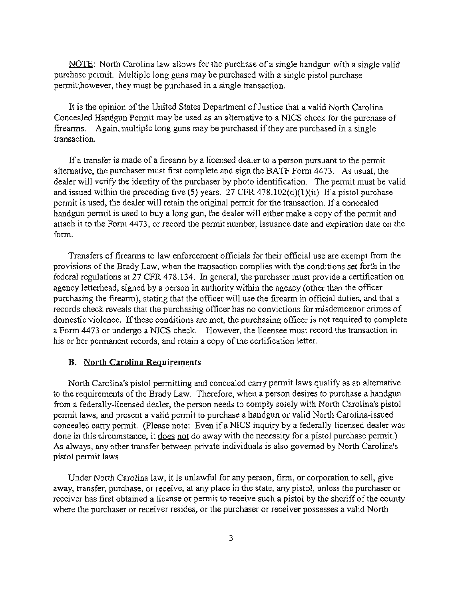NOTE: North Carolina law allows for the purchase of a single handgun with a single valid purchase pennit. Multiple long guns may be purchased with a single pistol purchase pennit;however, they must he purchased in a single transaction.

It is the opinion of the United States Department of Justice that a valid North Carolina Concealed Handgun Permit may be used as an alternative to a NICS check for the purchase of fireanns. Again, multiple long guns may be purchased if they are purchased in a single transaction.

If a transfer is made of a firearm by a licensed dealer to a person pursuant to the pennit alternative, the purchaser must first complete and sign the BATF Fonn 4473. As usual, the dealer will verify the identity of the purchaser by photo identification. The pennit must be valid and issued within the preceding five (5) years. 27 CFR 478.102(d)(1)(ii) If a pistol purchase pennit is used, the dealer will retain the original pennit for the transaction. If a concealed handgun permit is used to buy a long gun, the dealer will either make a copy of the pennit and attach it to the Fonn 4473, or record the pennit number, issuance date and expiration date on the form.

Transfers of firearms to law enforcement officials for their official use are exempt from the provisions of the Brady Law, when the transaction complies with the conditions set forth in the federal regulations at 27 CFR 478.134. In general, the purchaser must provide a certification on agency letterhead, signed by a person in authority within the agency (other than the officer purchasing the fireann), stating that the officer will use the firearm in official duties, and that a records check reveals that the purchasing officer has no convictions for misdemeanor crimes of domestic violence. If these conditions are met, the purchasing officer is not required to complete a Form 4473 or undergo a NICS check. However, the licensee must record the transaction in his or her pennanent records, and retain a copy of the certification letter.

#### B. North Carolina Requirements

North Carolina's pistol pennitting and concealed carry pennit laws qualify as an alternative to the requirements of the Brady Law. Therefore, when a person desires to purchase a handgun from a federally-licensed dealer, the person needs to comply solely with North Carolina's pistol permit laws, and present a valid pennit to purchase a handgun or valid North Carolina-issued concealed carry pennit. (Please note: Even if a NICS inquiry by a federally-licensed dealer was done in this circumstance, it does not do away with the necessity for a pistol purchase permit.) As always. any other transfer between private individuals is also governed by North Carolina's pistol pennit laws.

Under North Carolina law, it is unlawful for any person, finn, or corporation to sell. give away. transfer, purchase, or receive, at any place in the state, any pistol, unless the purchaser or receiver has first obtained a license or pennit to receive such a pistol by the sheriff of the county where the purchaser or receiver resides, or the purchaser or receiver possesses a valid North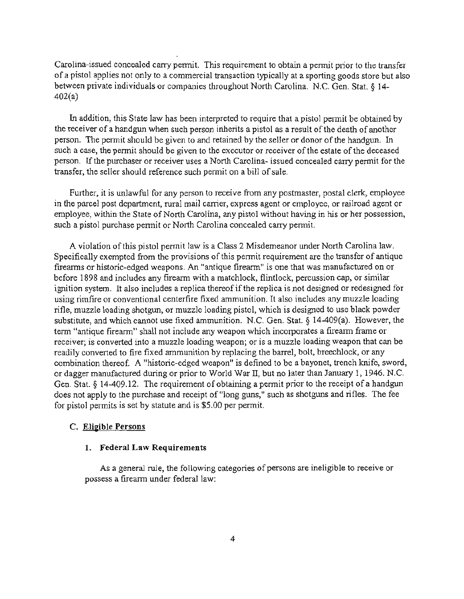Carolina-issued concealed carry pennit. This requirement to obtain a pennit prior to the transfer of a pistol applies not only to a commercial transaction typically at a sporting goods store but also between private individuals or companies throughout North Carolina. N.C. Gen. Stat. § 14-  $402(a)$ 

In addition, this State law has been interpreted to require that a pistol pennit be obtained by the receiver of a handgun when such person inherits a pistol as a result of the death of another person. The permit should be given to and retained by the seller or donor of the handgun. In such a case, the permit should be given to the executor or receiver of the estate of the deceased person. If the purchaser or receiver uses a North Carolina- issued concealed carry pennit for the transfer, the seller should reference such pennit on a bill of sale.

Further, it is unlawful for any person to receive from any postmaster, postal clerk, employee in the parcel post department, rural mail camer, express agent or employee, or railroad agent or employee, within the State of North Carolina, any pistol without having in his or her possession, such a pistol purchase permit or North Carolina concealed carry permit.

A violation of this pistol permit law is a Class 2 Misdemeanor under North Carolina law. Specifically exempted from the provisions of this pennit requirement are the transfer of antique firearms or historic-edged weapons. An "antique firearm" is one that was manufactured on or before 1898 and includes any firearm with a matchlock, flintlock, percussion cap, or similar ignition system. It also includes a replica thereof if the replica is not designed or redesigned for using rimfire or conventional centerfire fixed ammunition. It also includes any muzzle loading rifle, muzzle loading shotgun, or muzzle loading pistol, which is designed to use black powder substitute, and which cannot use fixed ammunition. N.C. Gen. Stat. § 14-409(a). However, the term "antique firearm" shall not include any weapon which incorporates a fireann frame or receiver; is converted into a muzzle loading weapon; or is a muzzle loading weapon that can be readily converted to fire fixed ammunition by replacing the barrel, bolt, breechlock, or any combination thereof. A "historic-edged weapon" is defined to be a bayonet, trench knife. sword, or dagger manufactured during or prior to World War II, but no later than January 1, 1946. N.C. Gen. Stat. § 14-409.12. The requirement of obtaining a permit prior to the receipt of a handgun does not apply to the purchase and receipt of "long guns," such as shotguns and rifles. The fee for pistol permits is set by statute and is \$5.00 per permit.

#### c. Elieible Persons

## 1. Federal Law Requirements

As a general rule, the following categories of persons are ineligible to receive or possess a fireann under federal law: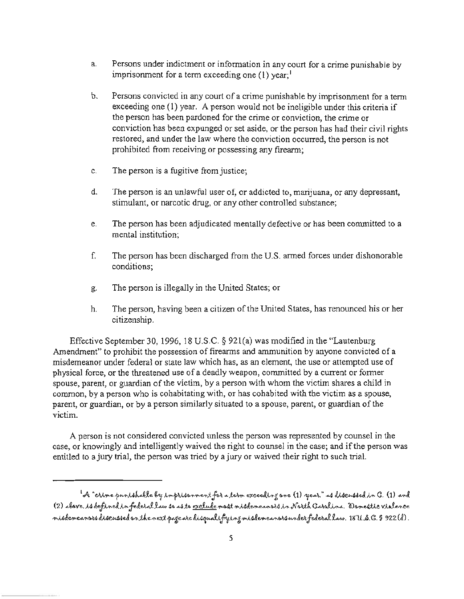- a. Persons under indictment or information in any court for a crime punishable by imprisonment for a term exceeding one  $(1)$  year;<sup>1</sup>
- b. Persons convicted in any court of a crime punishable by imprisonment for a tenn exceeding one (I) year. A person would not be ineligible under this criteria if the person has been pardoned for the crime or conviction, the crime or conviction has been expunged or set aside, or the person has had their civil rights restored, and under the law where the conviction occurred, the person is not prohibited from receiving or possessing any firearm;
- c. The person is a fugitive from justice;
- d. The person is an unlawful user of, or addicted to, marijuana, or any depressant, stimulant, or narcotic drug, or any other controlled substance;
- e. The person has been adjudicated mentally defective or has been committed to a mental institution;
- f. The person has been discharged from the U.S. anned forces under dishonorable conditions;
- g. The person is illegally in the United States; or
- h. The person, having been a citizen of the United States, has renounced his or her citizenship.

Effective September 30,1996, 18 U.s.C. § 921(a) was modified in the "Lautenburg Amendment" to prohibit the possession of firearms and ammunition by anyone convicted of a misdemeanor under federal or state law which has, as an element, the use or attempted use of physical force, or the threatened use of a deadly weapon, committed by a current or fonner spouse, parent, or guardian of the victim, by a person with whom the victim shares a child in common, by a person who is cohabitating with, or has cohabited with the victim as a spouse, parent, or guardian, or by a person similarly situated to a spouse, parent, or guardian of the victim.

A person is not considered convicted unless the person was represented by counsel in the case, or knowingly and intelligently waived the right to counsel in the case; and if the person was entitled to a jury trial, the person was tried by a jury or waived their right to such trial.

<sup>&</sup>lt;sup>1</sup>oA "crime punishable by imprisenment for a term exceeding one (1) year," as discussed in G. (1) and (2) above. is defined in federal law so as to <u>exclude</u> most misdemeanors in North Carolina. Domestic violence misdemeanors discussed on the next page are disqualifying misdemeanors under federal law. 18 U.S.G. § 922(d).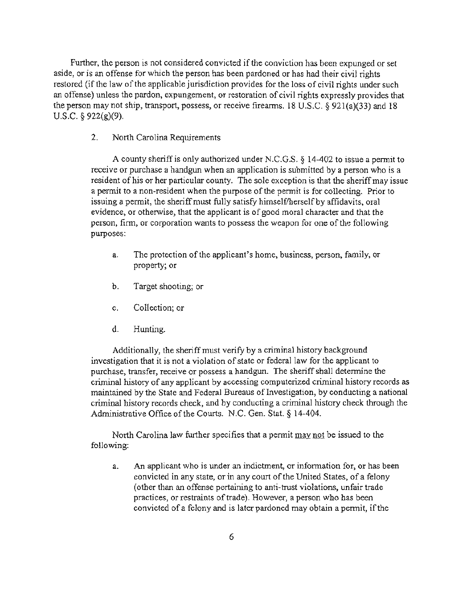Further, the person is not considered convicted if the conviction has been expunged or set aside, or is an offense for which the person has been pardoned or has had their civil rights restored (if the law of the applicable jurisdiction provides for the loss of civil rights under such an offense) unless the pardon, expungement, or restoration of civil rights expressly provides that the person may not ship, transport, possess, or receive firearms. 18 U.S.C.  $\frac{6}{921(a)(33)}$  and 18 U.S.C. § 922(g)(9).

2. North Carolina Requirements

A county sheriff is only authorized under N.C.G.S.  $\S$  14-402 to issue a permit to receive or purchase a handgun when an application is submitted by a person who is a resident of his or her particular county. The sole exception is that the sheriff may issue a pennit to a non-resident when the purpose of the pennit is for collecting. Prior to issuing a permit, the sheriff must fully satisfy himself/herself by affidavits, oral evidence, or otherwise, that the applicant is of good moral character and that the person, finn, or corporation wants to possess the weapon for one of the following purposes:

- a. The protection of the applicant's home, business, person, family. or property; or
- b. Target shooting; or
- c. Collection; or
- d. Hunting.

Additionally. the sheriff must verify by a criminal history background investigation that it is not a violation of state or federal law for the applicant to purchase, transfer, receive or possess a handgun. The sheriff shall detennine the criminal history of any applicant by accessing computerized criminal history records as maintained by the State and Federal Bureaus of Investigation, by conducting a national criminal history records check, and by conducting a criminal history check through the Administrative Office of the Courts. N.C. Gen. Stat. § 14-404.

North Carolina law further specifies that a pennit may not be issued to the following:

a. An applicant who is under an indictment, or information for, or has been convicted in any state, or in any court of the United States, of a felony (other than an offense pertaining to anti-trust violations. unfair trade practices, or restraints of trade). However, a person who has been convicted of a felony and is later pardoned may obtain a pennit, if the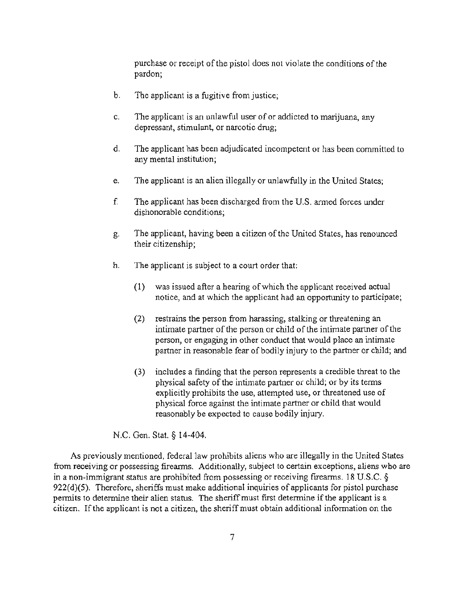purchase or receipt of the pistol does not violate the conditions of the pardon;

- b. The applicant is a fugitive from justice;
- c. The applicant is an unlawful user of or addicted to marijuana. any depressant, stimulant. or narcotic drug;
- d. The applicant has been adjudicated incompetent or has been committed to any mental institution;
- e. The applicant is an alien illegally or unlawfully in the United States;
- f. The applicant has been discharged from the U.S. armed forces under dishonorable conditions;
- g. The applicant, having been a citizen of the United States, has renounced their citizenship;
- h. The applicant is subject to a court order that:
	- (1) was issued after a hearing of which the applicant received actual notice. and at which the applicant had an opportunity to participate;
	- (2) restrains the person from harassing, stalking or threatening an intimate partner of the person or child of the intimate partner of the person. or engaging in other conduct that would place an intimate partner in reasonable fear of bodily injury to the partner or child; and
	- (3) includes a finding that the person represents a credible threat to the physical safety of the intimate partner or child; or by its terms explicitly prohibits the use, attempted use, or threatened use of physical force against the intimate partner or child that would reasonably be expected to cause bodily injury.

N.C. Gen. Stat. § 14-404.

As previously mentioned, federal law prohibits aliens who are illegally in the United States from receiving or possessing firearms. Additionally, subject to certain exceptions, aliens who are in a non-immigrant status are prohibited from possessing or receiving firearms. 18 U.S.C. §  $922(d)(5)$ . Therefore, sheriffs must make additional inquiries of applicants for pistol purchase permits to determine their alien status. The sheriff must first determine if the applicant is a citizen. If the applicant is not a citizen, the sherifTmust obtain additional information on the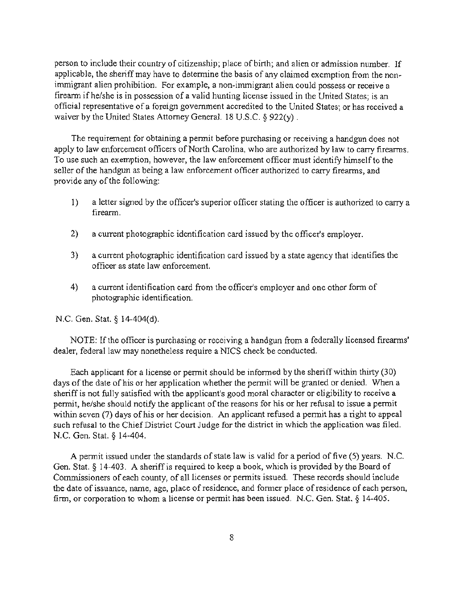person to include their country of citizenship; place of birth; and alien or admission number. If applicable, the sheriff may have to determine the basis of any claimed exemption from the non· immigrant alien prohibition. For example, a non-immigrant alien could possess or receive a firearm ifhelshe is in possession of a valid hunting license issued in the United States; is an official representative of a foreign government accredited to the United States; or has received a waiver by the United States Attorney General. 18 U.S.C. § 922(y).

The requirement for obtaining a permit before purchasing or receiving a handgun does not apply to law enforcement officers of North Carolina, who are authorized by law to carry firearms. To use such an exemption, however, the law enforcement officer must identify himself to the seller of the handgun as being a law enforcement officer authorized to carry firearms, and provide any of the following:

- I) a letter signed by the officer's superior officer stating the officer is authorized to carry a firearm.
- 2) a current photographic identification card issued by the officer's employer.
- 3) a current photographic identification card issued by a state agency that identifies the officer as state law enforcement.
- 4) a current identification card from the officer's employer and one other form of photographic identification.

N.C. Gen. Stat. § 14-404(d).

NOTE: If the officer is purchasing or receiving a handgun from a federally licensed firearms' dealer, federal law may nonetheless require a NlCS check be conducted.

Each applicant for a license or permit should be informed by the sheriff within thirty (30) days of the date of his or her application whether the permit will be granted or denied. When a sheriff is not fully satisfied with the applicant's good moral character or eligibility to receive a permit, he/she should notify the applicant of the reasons for his or her refusal to issue a pennit within seven (7) days of his or her decision. An applicant refused a permit has a right to appeal such refusal to the Chief District Court Judge for the district in which the application was filed. N.C. Gen. Stat. § 14-404.

A permit issued under the standards of state law is valid for a period of five (5) years. N.C. Gen. Stat. § 14-403. A sheriff is required to keep a book, which is provided by the Board of Commissioners of each county, of all licenses or permits issued. These records should include the date of issuance, name, age, place of residence, and fonner place of residence of each person, firm, or corporation to whom a license or permit has been issued. N.C. Gen. Stat.  $\S$  14-405.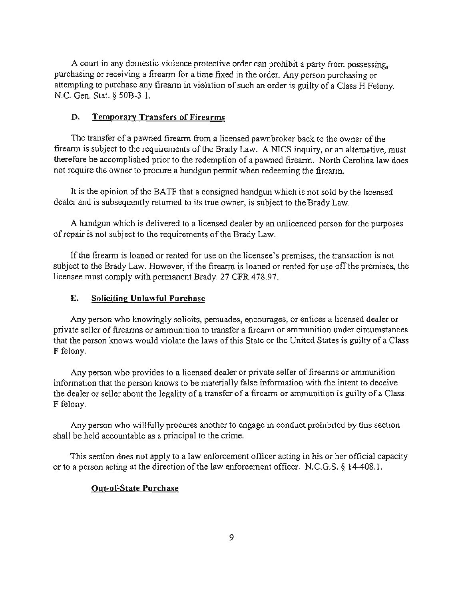A court in any domestic violence protective order can prohibit a party from possessing, purchasing or receiving a firearm for a time fixed in the order. Any person purchasing or attempting to purchase any firearm in vielation of such an order is guilty of a Class H Felony. N.C. Gen. Stat. § 50B-3.!.

## D. Temporary Transfers of Firearms

The transfer of a pawned fireann from a licensed pawnbroker back to the owner of the firearm is subject to the requirements of the Brady Law. A NlCS inquiry, or an alternative, must therefore be accomplished prior to the redemption of a pawned firearm. North Carolina law does not require the owner to procure a handgun permit when redeeming the firearm.

It is the opinion of the BATF that a consigned handgun which is not sold by the licensed dealer and is subsequently returned to its true owner, is subject to the Brady Law.

A handgun which is delivered to a licensed dealer by an unlicenced person for the purposes of repair is not subject to the requirements of the Brady Law.

If the firearm is loaned or rented for use on the licensee's premises, the transaction is not subject to the Brady Law. However, if the firearm is loaned or rented for use off the premises, the licensee must comply with permanent Brady. 27 CFR 478.97.

## E. Soliciting Unlawful Purchase

Any person who knowingly solicits, persuades, encourages, or entices a licensed dealer or private seller of firearms or ammunition to transfer a firearm or ammunition under circumstances that the person knows would violate the laws of this State or the United States is guilty of a Class F felony.

Any person who provides to a licensed dealer or private seller of firearms or ammunition information that the person knows to be materially false information with the intent to deceive the dealer or seller about the legality of a transfer of a firearm or ammunition is guilty of a Class F felony.

Any person who willfully procures another to engage in conduct prohibited by this section shall be held accountable as a principal to the crime.

This section does not apply to a law enforcement officer acting in his or her official capacity or to a person acting at the direction of the law enforcement officer. N.C.G.S. § 14-408.1.

## Out-of-State Purchase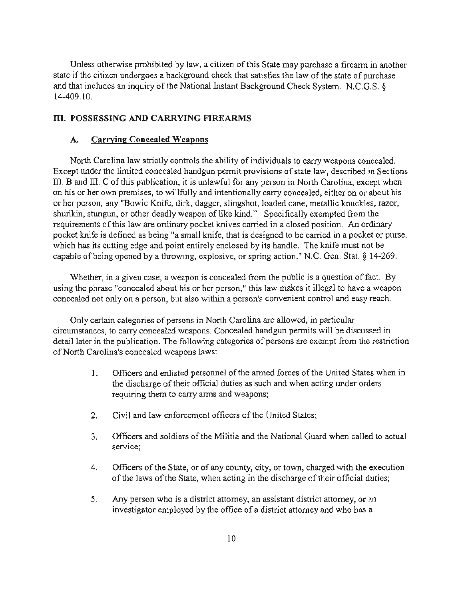Unless otherwise prohibited by law, a citizen of this State may purchase a fireann in another state if the citizen undergoes a background check that satisfies the law of the state of purchase and that includes an inquiry of the National Instant Background Check System. N.C.G.S. § 14-409.10.

## III. POSSESSING AND CARRYING FIREARMS

#### A. Carrying Concealed Weapons

North Carolina law strictly controls the ability of individuals to carry weapons concealed. Except under the limited concealed handgun pennit provisions of state law, described in Sections III. B and III. C of this publication, it is unlawful for any person in North Carolina, except when on his or her own premises, to willfully and intentionally carry concealed, either on or about his or her person, any "Bowie Knife, dirk, dagger, slingshot, loaded cane, metallic knuckles, razor, shurikin, stungun, or other deadly weapon of like kind." Specifically exempted from the requirements of this law are ordinary pocket knives carried in a closed position. An ordinary pocket knife is defined as being "a small knife, that is designed to be carried in a pocket or purse, which has its cutting edge and point entirely enclosed by its handle. The knife must not be capable of being opened by a throwing, explosive, or spring action." N.C. Gen. Stat. § 14-269.

Whether, in a given case, a weapon is concealed from the public is a question of fact. By using the phrase "concealed about his or her person," this law makes it illegal to have a weapon concealed not only on a person, but also within a person's convenient control and easy reach.

Only certain categories of persons in North Carolina are allowed, in particular circumstances, to carry concealed weapons. Concealed handgun pennits will be discussed in detail later in the publication. The following categories of persons are exempt from the restriction of North Carolina's concealed weapons laws:

- 1. Officers and enlisted personnel of the anned forces of the United States when in the discharge of their official duties as such and when acting under orders requiring them to carry anns and weapons;
- 2. Civil and law enforcement officers of the United States;
- 3. Officers and soldiers of the Militia and the National Guard when called to actual service;
- 4. Officers of the State, or of any county, city. or town, charged with the execution of the laws of the State, when acting in the discharge of their official duties;
- 5. Any person who is a district attorney, an assistant district attorney, or an investigator employed by the office of a district attorney and who has a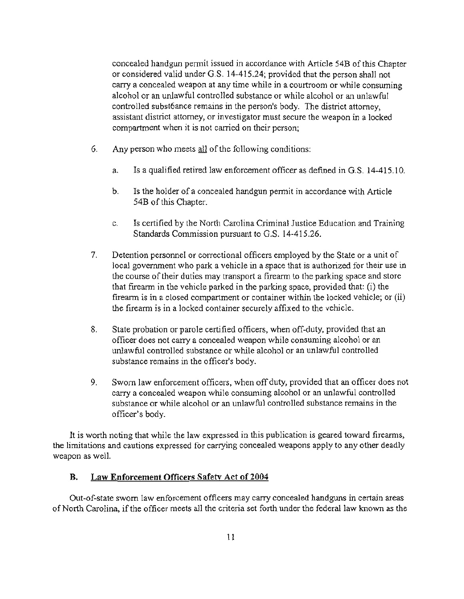concealed handgun pennit issued in accordance with Article 54B of this Chapter or considered valid under G.S. 14-41 5.24; provided that the person shall not carry a concealed weapon at any time while in a courtroom or while consuming alcohol or an unlawful controlled substance or while alcohol or an unlawful controlled subst6ance remains in the person's body. The district attorney, assistant district attorney, or investigator must secure the weapon in a locked compartment when it is not carried on their person;

- 6. Any person who meets  $all$  of the following conditions:
	- a. 1s a qualified retired law enforcement officer as defined in G.S. 14-415.10.
	- b. 1s the holder of a concealed handgun pennit in accordance with Article 54B of this Chapter.
	- c. 1s certified by the North Carolina Criminal Justice Education and Training Standards Commission pursuant to G.S. 14-415.26.
- 7. Detention personnel or correctional officers employed by the State or a unit of local government who park a vehicle in a space that is authorized for their use in the course of their duties may transport a firearm to the parking space and store that firearm in the vehicle parked in the parking space, provided that: (i) the firearm is in a closed compartment or container within the locked vehicle; or (ii) the firearm is in a locked container securely affixed to the vehicle.
- 8. State probation or parole certified officers, when off-duty, provided that an officer does not carry a concealed weapon while consuming alcohol or an unlawful controlled substance or while alcohol or an unlawful controlled substance remains in the officer's body.
- 9. Sworn law enforcement officers, when off duty, provided that an officer does not carry a concealed weapon while consuming alcohol or an unlawful controlled substance or while alcohol or an unlawful controlled substance remains in the officer's body.

It is worth noting that while the law expressed in this publication is geared toward firearms, the limitations and cautions expressed for canying concealed weapons apply to any other deadly weapon as well.

## B. Law Enforcement Officers Safety Act of 2004

Out-of-state sworn law enforcement officers may carry concealed handguns in certain areas of North Carolina, if the officer meets all the criteria set forth under the federal law known as the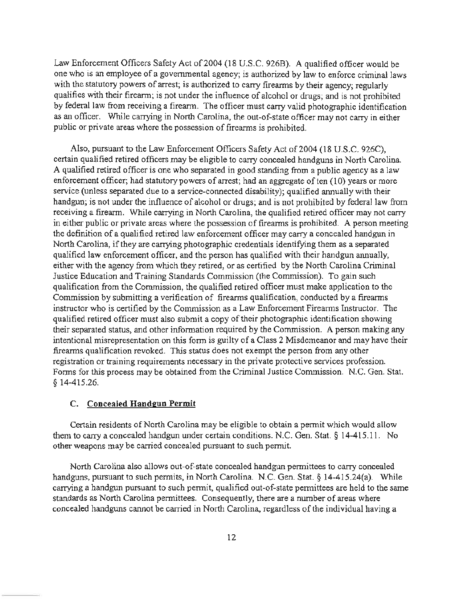Law Enforcement Officers Safety Act of 2004 (18 U.S.C. 926B). A qualified officer would be one who is an employee of a governmental agency; is authorized by law to enforce criminal laws with the statutory powers of arrest; is authorized to carry firearms by their agency; regularly qualifies with their firearm; is not under the influence of alcohol or drugs; and is not prohibited by federal law from receiving a firearm. The officer must carry valid photographic identification as an officer. While carrying in North Carolina, the out-of-state officer may not carry in either public or private areas where the possession of firearms is prohibited.

Also, pursuant to the Law Enforcement Officers Safety Act of 2004 (18 U.S.c. 926C), certain qualified retired officers may be eligible to carry concealed handguns in North Carolina. A qualified retired officer is one who separated in good standing from a public agency as a law enforcement officer; had statutory powers of arrest; had an aggregate of ten  $(10)$  years or more service (unless separated due to a service-connected disability); qualified annually with their handgun; is not under the influence of alcohol or drugs; and is not prohibited by federal law from receiving a firearm. While carrying in North Carolina, the qualified retired officer may not carry in either public or private areas where the possession of firearms is prohibited. A person meeting the definition of a qualified retired law enforcement officer may carry a concealed handgun in North Carolina, if they are carrying photographic credentials identifying them as a separated qualified law enforcement officer, and the person has qualified with their handgun annually, either with the agency from which they retired, or as certified by the North Carolina Criminal Justice Education and Training Standards Commission (the Commission). To gain such qualification from the Commission, the qualified retired officer must make application to the Commission by submitting a verification of firearms qualification, conducted by a firearms instructor who is certified by the Commission as a Law Enforcement Fireanns Instructor. The qualified retired officer must also submit a copy of their photographic identification showing their separated status, and other infonnation required by the Commission. A person making any intentional misrepresentation on this form is gui Ity of a Class 2 Misdemeanor and may have their firearms qualification revoked. This status does not exempt the person from any other registration or training requirements necessary in the private protective services profession. Fonns for this process may be obtained from the Criminal Justice Commission. N.C. Gen. Stat. § 14-415.26.

#### C. Concealed Handgun Permit

Certain residents of North Carolina may be eligible to obtain a pennit which would allow them to carry a concealed handgun under certain conditions. N.C. Gen. Stat. § 14-415.11. No other weapons may be carried concealed pursuant to such pennit.

North Carolina also allows out-of-state concealed handgun permittees to carry concealed handguns, pursuant to such permits, in North Carolina. N.C. Gen. Stat. § 14-415.24(a). While carrying a handgun pursuant to such pennit, qualified out-of-state pennittees are held to the same standards as North Carolina permittees. Consequently, there are a number of areas where concealed handguns cannot be carried in North Carolina, regardless of the individual having a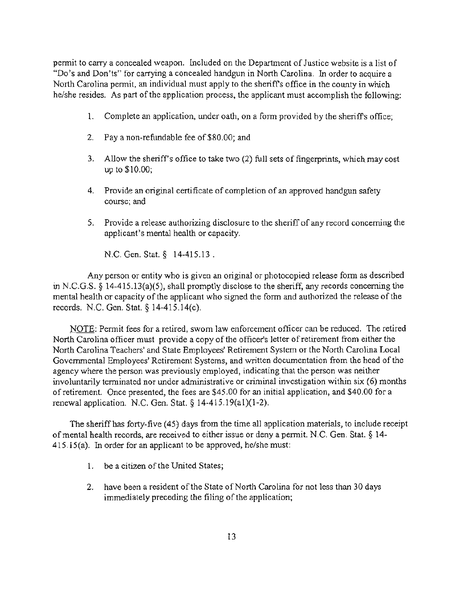permit to carry a concealed weapon. Included on the Department of Justice website is a list of "Do's and Don'ts" for carrying a concealed handgun in North Carolina. In order to acquire a North Carolina pennit, an individual must apply to the sheriffs office in the county in which he/she resides. As part of the application process, the applicant must accomplish the following:

- 1. Complete an application, under oath, on a form provided by the sheriff's office;
- 2. Pay a non-refundable fee of \$80.00; and
- 3. Allow the sheriffs office to take two (2) full sets of fingerprints, which may cost up to \$10.00;
- 4. Provide an original certificate of completion of an approved handgun safety course; and
- 5. Provide a release authorizing disclosure to the sheriff of any record concerning the applicant's mental health or capacity.

N.C. Gen. Stat. § 14-415.13.

Any person or entity who is given an original or photocopied release fonn as described in N.C.G.S. § 14-415.13(a)(5), shall promptly disclose to the sheriff, any records concerning the mental health or capacity of the applicant who signed the form and authorized the release of the records. N.C. Gen. Stat. § 14-415.14(c).

NOTE: Permit fees for a retired, sworn law enforcement officer can be reduced. The retired North Carolina officer must provide a copy of the officer's letter of retirement from either the North Carolina Teachers' and State Employees' Retirement System or the North Carolina Local Governmental Employees' Retirement Systems, and written documentation from the head of the agency where the person was previously employed, indicating that the person was neither involuntarily terminated nor under administrative or criminal investigation within six (6) months of retirement. Once presented. the fees are \$45.00 for an initial application, and \$40.00 for a renewal application. N.C. Gen. Stat. § 14-415.19(al)(1-2).

The sheriff has forty-five (45) days from the time all application materials, to include receipt of mental health records, are received to either issue or deny a permit. N.C. Gen. Stat. § 14- 415.15(a). In order for an applicant to be approved, he/she must:

- 1. be a citizen of the United States;
- 2. have been a resident of the State of North Carolina for not less than 30 days immediately preceding the filing of the application;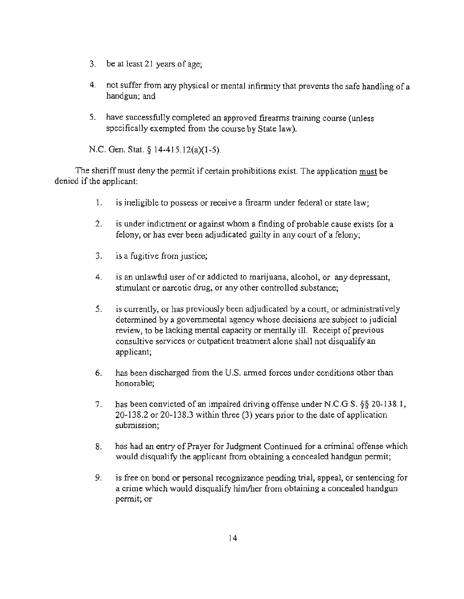- 3. be at least 21 years of age;
- 4. not suffer from any physical or mental infirmity that prevents the safe handling of a handgun; and
- 5. have successfully completed an approved firearms training course (unless specifically exempted from the course by State law).

N.C. Gen. Stat. § 14-415.12(a)(1-5).

The sheriff must deny the pennit if certain prohibitions exist. The application must be denied if the applicant:

- 1. is ineligible to possess or receive a firearm under federal or state law;
- 2. is under indictment or against whom a finding of probable cause exists for a felony. or has ever been adjudicated guilty in any court of a felony;
- 3. is a fugitive from justice;
- 4. is an unlawful user of or addicted to marijuana, alcohol, or any depressant, stimulant or narcotic drug, or any other controlled substance;
- 5. is currently, or has previously been adjudicated by a court, or administratively determined by a governmental agency whose decisions are subject to judicial review, to be lacking mental capacity or mentally ill. Receipt of previous consultive services or outpatient treatment alone shall not disqualify an applicant;
- 6. has been discharged from the U.S. anned forces under conditions other than honorable;
- 7. has been convicted of an impaired driving offense under N.C.G.S. §§ 20-138.1, 20-138.2 or 20-138.3 within three (3) years prior to the date of application submission;
- 8. has had an entry of Prayer for Judgment Continued for a criminal offense which would disqualify the applicant from obtaining a concealed handgun permit;
- 9. is free on bond or personal recognizance pending trial, appeal, or sentencing for a crime which would disqualify him/her from obtaining a concealed handgun permit; or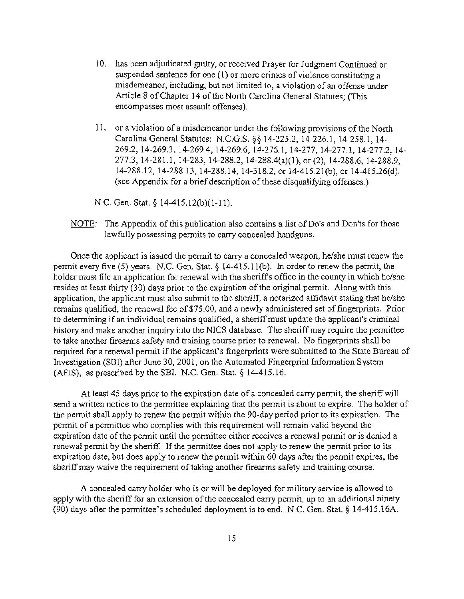- 10. has been adjudicated guilty, or received Prayer for Judgment Continued or suspended sentence for one (1) or more crimes of violence constituting a misdemeanor, including, but not limited to, a violation of an offense under Article 8 of Chapter 14 of the North Carolina General Statutes; (This encompasses most assault offenses).
- 11. or a violation of a misdemeanor under the following provisions of the North Carolina General Statutes: N.C.G.S. §§ 14-225.2, 14-226.1, 14-258.1 , 14- 269.2,14-269.3, 14-269.4, 14-269.6,14-276.1, 14-277,14-277.1, 14-277.2, 14- 277.3, 14-281.1, 14-283, 14-288.2, 14-288.4(a)(I), or (2), 14-288.6,14-288.9, 14-288.12, 14-288.13, 14-288.14, 14-318.2, or 14-415.21 (b), or 14-41S.26(d). (see Appendix for a brief description of these disqualifying offenses.)

N.C. Gen. Stat. § 14-415.12(b)(1-11).

NOTE: The Appendix of this publication also contains a list of Do's and Don'ts for those lawfully possessing permits to carry concealed handguns.

Once the applicant is issued the permit to carry a concealed weapon, he/she must renew the permit every five (5) years. N.C. Gen. Stat. § 14-415.11(b). In order to renew the permit, the holder must file an application for renewal with the sheriff's office in the county in which he/she resides at least thirty (30) days prior to the expiration of the original permit. Along with this application, the applicant must also submit to the sheriff, a notarized affidavit stating that he/she remains qualified, the renewal fee of \$75.00, and a newly administered set of fingerprints. Prior to determining if an individual remains qualified, a sheriff must update the applicant's criminal history and make another inquiry into the NICS database. The sheriff may require the pennittee to take another firearms safety and training course prior to renewal . No fingerprints shall be required for a renewal permit if the applicant's fingerprints were submitted to the State Bureau of Investigation (SBI) after June 30, 2001, on the Automated Fingerprint Information System (AFIS), as prescribed by the SBL N.C. Gen. Stat. § 14-415.16.

At least 45 days prior to the expiration date of a concealed carry permit, the sheriff will send a written notice to the permittee explaining that the permit is about to expire. The holder of the pennit shall apply to renew the permit within the 90-day period prior to its expiration. The pennit of a permittee who complies with this requirement will remain valid beyond the expiration date of the permit until the permittee either receives a renewal permit or is denied a renewal permit by the sheriff. If the permittee does not apply to renew the permit prior to its expiration date, but does apply to renew the permit within 60 days after the permit expires, the sheriff may waive the requirement of taking another firearms safety and training course.

A concealed carry holder who is or will be deployed for military service is allowed to apply with the sheriff for an extension of the concealed carry pennit, up to an additional ninety (90) days after the permittee's scheduled deployment is to end. N.C. Gen. Stat. § 14-415.16A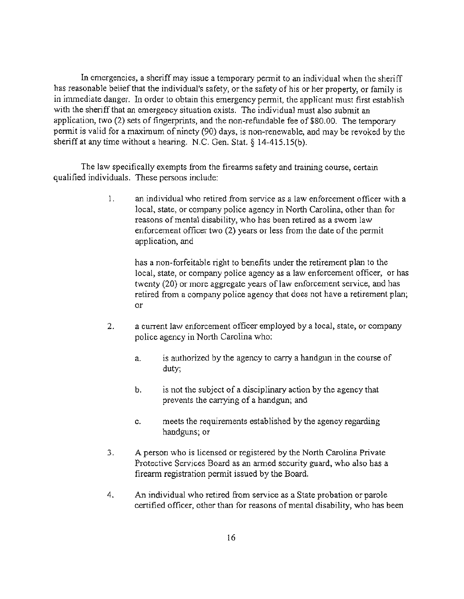In emergencies, a sheriff may issue a temporary permit to an individual when the sheriff has reasonable belief that the individual's safety, or the safety of his or her property, or family is in immediate danger. In order to obtain this emergency permit, the applicant must first establish with the sheriff that an emergency situation exists. The individual must also submit an application, two (2) sets of fingerprints, and the non-refundable fee of \$80.00. The temporary permit is valid for a maximum of ninety (90) days, is non-renewable, and may be revoked by the sheriff at any time without a hearing. N.C. Gen. Stat. § 14-41S.1S(b).

The law specifically exempts from the firearms safety and training course, certain qualified individuals. These persons include:

> 1. an individual who retired from service as a law enforcement officer with a local, state, or company police agency in North Carolina, other than for reasons of mental disability, who has been retired as a sworn law enforcement officer two (2) years or less from the date of the permit application, and

has a non-forfeitable right to benefits under the retirement plan to the local, state, or company police agency as a law enforcement officer, or has twenty (20) or more aggregate years of law enforcement service, and has retired from a company police agency that does not have a retirement plan; or

- 2. a current law enforcement officer employed by a local, state, or company police agency in North Carolina who:
	- a. is authorized by the agency to carry a handgun in the course of duty;
	- b. is not the subject of a disciplinary action by the agency that prevents the carrying of a handgun; and
	- c. meets the requirements established by the agency regarding handguns; or
- 3. A person who is licensed or registered by the North Carolina Private Protective Services Board as an armed security guard, who also has a firearm registration permit issued by the Board.
- 4. An individual who retired from service as a State probation or parole certified officer, other than for reasons of mental disability, who has been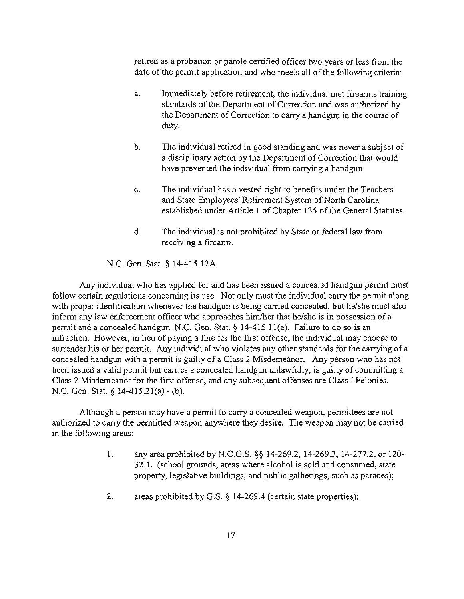retired as a probation or parole certified officer two years or less from the date of the permit application and who meets all of the following criteria:

- a. Immediately before retirement, the individual met fireanns training standards of the Department of Correction and was authorized by the Department of Correction to carry a handgun in the course of duty.
- b. The individual retired in good standing and was never a subject of a disciplinary action by the Department of Correction that would have prevented the individual from carrying a handgun.
- c. The individual has a vested right to benefits under the Teachers' and State Employees' Retirement System of North Carolina established under Article I of Chapter 135 of the General Statutes.
- d. The individual is not prohibited by State or federal law from receiving a firearm.

N.C. Gen. Stat. § 14-415.12A.

Any individual who has applied for and has been issued a concealed handgun permit must follow certain regulations concerning its use. Not only must the individual carry the permit along with proper identification whenever the handgun is being carried concealed, but he/she must also inform any law enforcement officer who approaches him/her that he/she is in possession of a permit and a concealed handgun. N.C. Gen. Stat. § 14-415.11(a). Failure to do so is an infraction. However, in lieu of paying a fine for the first offense, the individual may choose to surrender his or her permit. Any individual who violates any other standards for the carrying of a concealed handgun with a permit is guilty of a Class 2 Misdemeanor. Any person who has not been issued a valid permit but carries a concealed handgun unlawfully, is guilty of committing a Class 2 Misdemeanor for the first offense, and any subsequent offenses are Class I Felonies. N.C. Gen. Stat. § 14-415.21(a) - (b).

Although a person may have a permit to carry a concealed weapon, permittees are not authorized to carry the permitted weapon anywhere they desire. The weapon may not be carried in the following areas:

- 1. any area prohibited by N.C.G.S. §§ 14-269.2, 14-269.3, 14-277.2, or 120- 32.1. (school grounds, areas where alcohol is sold and consumed, state property, legislative buildings, and public gatherings, such as parades);
- 2. areas prohibited by G.S. § 14-269.4 (certain state properties);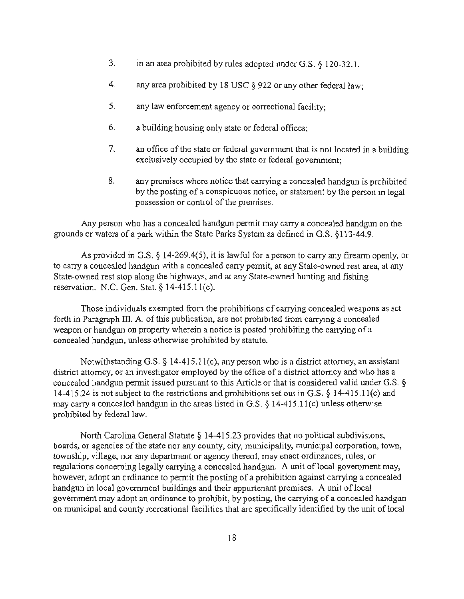- 3. in an area prohibited by rules adopted under G.S. § 120-32.1.
- 4. any area prohibited by 18 USC § 922 or any other federal law;
- 5. any law enforcement agency or correctional facility;
- 6. a building housing only state or federal offices;
- 7. an office of the state or federal government that is not located in a building exclusively occupied by the state or federal government;
- 8. any premises where notice that carrying a concealed handgun is prohibited by the posting of a conspicuous notice, or statement by the person in legal possession or control of the premises.

Any person who has a concealed handgun permit may carry a concealed handgun on the grounds or waters of a park within the State Parks System as defined in G.S. § 113-44.9.

As provided in G.S. § 14-269.4(5), it is lawful for a person to carry any firearm openly, or to carry a concealed handgun with a concealed carry pennit, at any State-owned rest area, at any State-owned rest stop along the highways, and at any State-owned hunting and fishing reservation. N.C. Gen. Stat. § 14-415.II(c).

Those individuals exempted from the prohibitions of carrying concealed weapons as set forth in Paragraph III. A. of this publication, are not prohibited from carrying a concealed weapon or handgun on property wherein a notice is posted prohibiting the carrying of a concealed handgun, unless othenvise prohibited by statute.

Notwithstanding G.S. § 14-415.11(c), any person who is a district attorney, an assistant district attorney, or an investigator employed by the office of a district attorney and who has a concealed handgun pennit issued pursuant to this Article or that is considered valid under G.S. § 14-415.24 is not subject to the restrictions and prohibitions set out in G.S. § 14-415.11(c) and may carry a concealed handgun in the areas listed in G.S.  $\S$  14-415.11(c) unless otherwise prohibited by federal law.

North Carolina General Statute § 14-415.23 provides that no political subdivisions, boards, or agencies of the state nor any county, city, municipality, municipal corporation, town, township, vilJage, nor any department or agency thereof, may enact ordinances, rules, or regulations concerning legally carrying a concealed handgun. A unit of local government may. however, adopt an ordinance to permit the posting of a prohibition against carrying a concealed handgun in local government buildings and their appurtenant premises. A unit of local government may adopt an ordinance to prohibit, by posting, the carrying of a concealed handgun on municipal and county recreational facilities that are specifically identified by the unit of local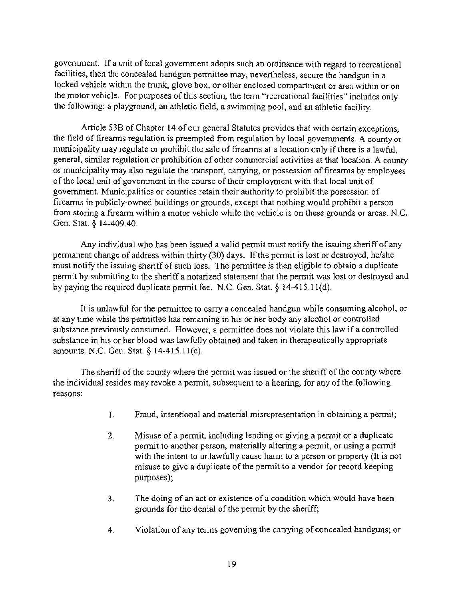government. If a unit of local government adopts such an ordinance with regard to recreational facilities, then the concealed handgun permittee may, nevertheless, secure the handgun in a locked vehicle within the trunk, glove box, or other enclosed compartment or area within or on the motor vehicle. For purposes of this section, the term "recreational facilities" includes only the following: a playground, an athletic field, a swimming pool, and an athletic facility.

Article 53B of Chapter 14 of our general Statutes provides that with certain exceptions, the field of firearms regulation is preempted from regulation by local governments. A county or municipality may regulate or prohibit the sale of firearms at a location only if there is a lawful, general, similar regulation or prohibition of other commercial activities at that location. A county or municipality may also regulate the transport, carrying, or possession of fireanns by employees of the local unit of government in the course of their employment with that local unit of government. Municipalities or counties retain their authority to prohibit the possession of fireanns in publicly-owned buildings or grounds, except that nothing would prohibit a person from storing a firearm within a motor vehicle while the vehicle is on these grounds or areas. N.C. Gen. Stat. § 14-409.40.

Any individual who has been issued a valid permit must notify the issuing sheriff of any permanent change of address within thirty (30) days. If the permit is lost or destroyed, helshe must notify the issuing sheriff of such loss. The permittee is then eligible to obtain a duplicate permit by submitting to the sheriff a notarized statement that the permit was lost or destroyed and by paying the required duplicate permit fee. N.C. Gen. Stat. § 14-415.II(d).

It is unlawful for the permittee to carry a concealed handgun while consuming alcohol, or at any time while the permittee has remaining in his or her body any alcohol or controlled substance previously consumed. However, a permittee does not violate this law if a controlled substance in his or her blood was lawfully obtained and taken in therapeutically appropriate amounts. N.C. Gen. Stat. § 14-415.II(c).

The sheriff of the county where the permit was issued or the sheriff of the county where the individual resides may revoke a permit, subsequent to a hearing, for any of the following reasons:

- $1.$  Fraud, intentional and material misrepresentation in obtaining a permit;
- 2. Misuse of a permit, including lending or giving a permit or a duplicate permit to another person, materially altering a permit, or using a pennit with the intent to unlawfully cause harm to a person or property (It is not misuse to give a duplicate of the permit to a vendor for record keeping purposes);
- 3. The doing of an act or existence of a condition which would have been grounds for the denial of the permit by the sheriff;
- 4. Violation of any terms governing the carrying of concealed handguns; or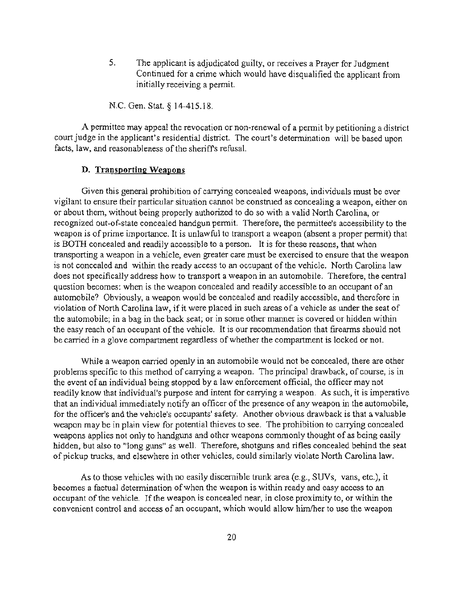S. The applicant is adjudicated guilty. or receives a Prayer for Judgment Continued for a crime which would have disqualified the applicant from initially receiving a permit.

N.C. Gen. Stat. § 14-415.18.

A permittee may appeal the revocation or non-renewal of a pennit by petitioning a district court judge in the applicant's residential district. The court's detennination will be based upon facts, law, and reasonableness of the sheriffs refusal.

#### D. Transporting Weapons

Given this general prohibition of carrying concealed weapons, individuals must be ever vigilant to ensure their particular situation cannot be construed as concealing a weapon, either on or about them, without being properly authorized to do so with a valid North Carolina, or recognized out-of-state concealed handgun permit. Therefore, the permittee's accessibility to the weapon is of prime importance. It is unlawful to transport a weapon (absent a proper permit) that is BOTH concealed and readily accessible to a person. It is for these reasons, that when transporting a weapon in a vehicle, even greater care must be exercised to ensure that the weapon is not concealed and within the ready access to an occupant of the vehicle. North Carolina law does not specifically address how to transport a weapon in an automobile. Therefore, the central question becomes: when is the weapon concealed and readily accessible to an occupant of an automobile? Obviously, a weapon would be concealed and readily accessible, and therefore in violation of North Carolina law, if it were placed in such areas of a vehicle as under the seat of the automobile; in a bag in the back seat; or in some other manner is covered or hidden within the easy reach of an occupant of the vehicle. It is our recommendation that firearms should not be carried in a glove compartment regardless of whether the compartment is locked or not.

While a weapon carried openly in an automobile would not be concealed, there are other problems specific to this method of carrying a weapon. The principal drawback, of course, is in the event of an individual being stopped by a law enforcement official, the officer may not readily know that individual's purpose and intent for carrying a weapon. As such, it is imperative that an individual immediately notify an officer of the presence of any weapon in the automobile, for the officer's and the vehicle's occupants' safety. Another obvious drawback is that a valuable weapon may be in plain view for potential thieves to see. The prohibition to carrying concealed weapons applies not only to handguns and other weapons commonly thought of as being easily hidden, but also to "long guns" as well. Therefore, shotguns and rifles concealed behind the seat of pickup trucks, and elsewhere in other vehicles, could similarly violate North Carolina law.

As to those vehicles with no easily discernible trunk area (e.g., SUVs, vans, etc.), it becomes a factual determination of when the weapon is within ready and easy access to an occupant of the vehicle. If the weapon is concealed near, in c10se proximity to, or within the convenient control and access of an occupant, which would allow him/her to use the weapon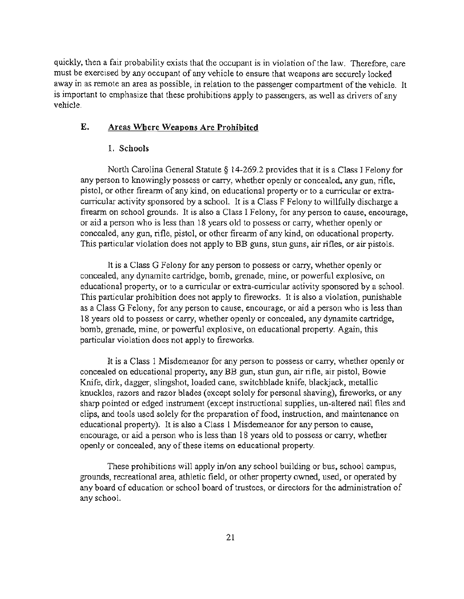quickly, then a fair probability exists that the occupant is in violation of the law. Therefore, care must be exercised by any occupant of any vehicle to ensure that weapons are securely locked away in as remote an area as possible, in relation to the passenger compartment of the vehicle. It is important to emphasize that these prohibitions apply to passengers, as well as drivers of any vehicle.

## E. Areas Where Weapons Are Prohibited

#### 1. Schools

North Carolina General Statute § 14-269.2 provides that it is a Class I Felony for any person to knowingly possess or carry, whether openly or concealed, any gun. rifle, pistol. or other fireann of any kind, on educational property or to a curricular or extracurricular activity sponsored by a school. It is a Class F Felony to willfully discharge a firearm on school grounds. It is also a Class I Felony, for any person to cause, encourage, or aid a person who is less than 18 years old to possess or carry, whether openly or concealed, any gun, rifle, pistol, or other firearm of any kind, on educational property. This particular violation does not apply to BB guns, stun guns, air rifles, or air pistols.

It is a Class G Felony for any person to possess or carry, whether openly or concealed, any dynamite cartridge, bomb, grenade, mine, or powerful explosive, on educational property, or to a curricular or extra-curricular activity sponsored by a school. This particular prohibition does not apply to fireworks. It is also a violation, punishable as a Class G Felony, for any person to cause, encourage, or aid a person who is less than 18 years old to possess or carry, whether openly or concealed, any dynamite cartridge, bomb, grenade, mine, or powerful explosive, on educational property. Again, this particular violation does not apply to fireworks.

It is a Class I Misdemeanor for any person to possess or carry, whether openly or concealed on educational property, any BB gun, stun gun, air rifle, air pistol, Bowie Knife, dirk, dagger, slingshot, loaded cane, switchblade knife, blackjack, metallic knuckles, razors and razor blades (except solely for personal shaving), fireworks, or any sharp pointed or edged instrument (except instructional supplies, un-altered nail files and clips, and tools used solely for the preparation of food, instruction, and maintenance on educational property). It is also a Class 1 Misdemeanor for any person to cause, encourage, or aid a person who is less than 18 years old to possess or carry, whether openly or concealed, any of these items on educational property.

These prohibitions will apply in/on any school building or bus, school campus, grounds, recreational area, athletic field, or other property owned, used, or operated by any board of education or school board of trustees, or directors for the administration of any school.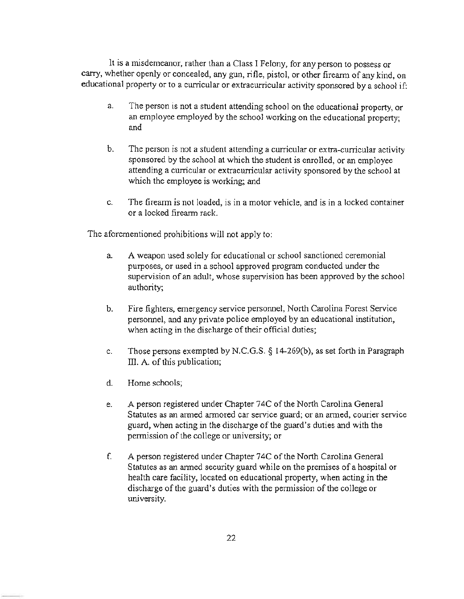It is a misdemeanor, rather than a Class I Felony, for any person to possess or carry, whether openly or concealed, any gun, rifle, pistol, or other firearm of any kind, on educational property or to a curricular or extracurricular activity sponsored by a school if:

- a. The person is not a student attending school on the educational property, or an employee employed by the school working on the educational property; and
- b. The person is not a student attending a curricular or extra-curricular activity sponsored by the school at which the student is emolled, or an employee attending a curricular or extracurricular activity sponsored by the school at which the employee is working; and
- c. The fireann is not loaded, is in a motor vehicle, and is in a locked container or a locked fireann rack.

The aforementioned prohibitions will not apply to:

- a. A weapon used solely for educational or school sanctioned ceremonial purposes, or used in a school approved program conducted under the supervision of an adult, whose supervision has been approved by the school authority;
- b. Fire fighters, emergency service personnel, North Carolina Forest Service personnel, and any private police employed by an educational institution, when acting in the discharge of their official duties;
- c. Those persons exempted by N.C.G.S. § 14-269(b), as set forth in Paragraph III. A. of this publication;
- d. Home schools;
- e. A person registered under Chapter 74C of the North Carolina General Statutes as an armed annored car service guard; or an anned, courier service guard, when acting in the discharge of the guard's duties and with the permission of the college or university; or
- f. A person registered under Chapter 74C of the North Carolina General Statutes as an armed security guard while on the premises of a hospital or health care facility, located on educational property, when acting in the discharge of the guard's duties with the permission of the college or university.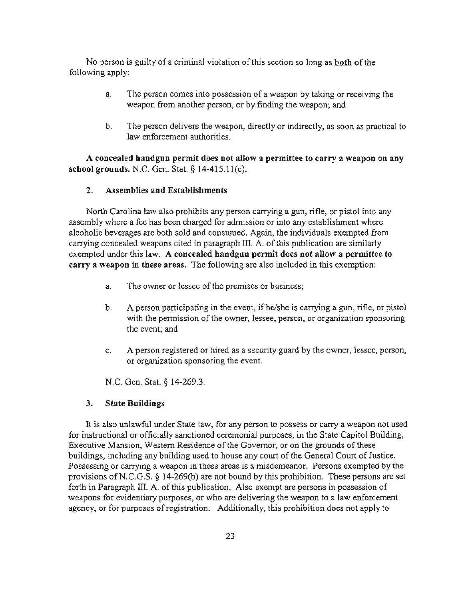No person is guilty of a criminal violation of this section so long as both of the following apply:

- a. The person comes into possession of a weapon by taking or receiving the weapon from another person, or by finding the weapon; and
- b. The person delivers the weapon, directly or indirectly. as soon as practical to law enforcement authorities.

A concealed handgun permit does not allow a permittee to carry a weapon on any school grounds. N.C. Gen. Stat. § 14-415.II(c).

## 2. Assemblies and Establishments

North Carolina law also prohibits any person carrying a gun, rifle, or pistol into any assembly where a fee has been charged for admission or into any establishment where alcoholic beverages are both sold and consumed. Again, the individuals exempted from carrying concealed weapons cited in paragraph  $III$ . A. of this publication are similarly exempted under this law. A concealed handgun permit does not allow a permittee to carry a weapon in these areas. The following are also included in this exemption:

- a. The owner or lessee of the premises or business;
- b. A person participating in the event, if he/she is carrying a gun, rifle, or pistol with the permission of the owner, lessee, person, or organization sponsoring the event; and
- c. A person registered or hired as a security guard by the owner, lessee, person, or organization sponsoring the event.

N.C. Gen. Stat. § 14-269.3.

#### 3. State Buildings

It is also unlawful under State law, for any person to possess or carry a weapon not used for instructional or officially sanctioned ceremonial purposes, in the State Capitol Building, Executive Mansion, Western Residence of the Governor, or on the grounds of these buildings, including any building used to house any court of the General Court of Justice. Possessing or carrying a weapon in these areas is a misdemeanor. Persons exempted by the provisions of N.C.G.S.  $\S$  14-269(b) are not bound by this prohibition. These persons are set forth in Paragraph III. A. of this publication. Also exempt are persons in possession of weapons for evidentiary purposes, or who are delivering the weapon to a law enforcement agency. or for purposes of registration. Additionally. this prohibition does not apply to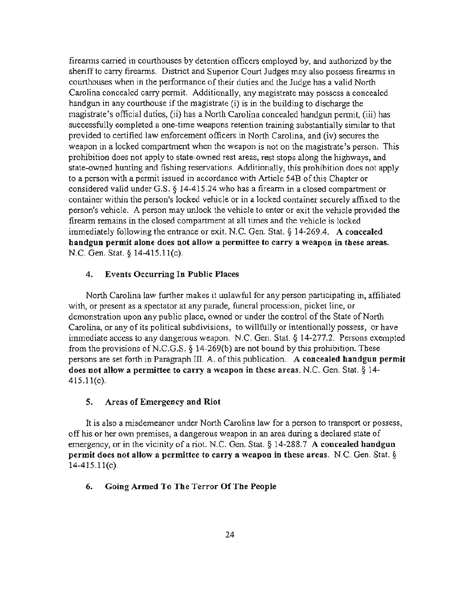fireanns carried in courthouses by detention officers employed by, and authorized by the sheriff to carry firearms. District and Superior Court Judges may also possess firearms in courthouses when in the performance of their duties and the Judge has a valid North Carolina concealed carry permit. Additionally, any magistrate may possess a concealed handgun in any courthouse if the magistrate (i) is in the building to discharge the magistrate's official duties, (ii) has a North Carolina concealed handgun pennit, (iii) has successfully completed a one-time weapons retention training substantially similar to that provided to certified law enforcement officers in North Carolina, and (iv) secures the weapon in a locked compartment when the weapon is not on the magistrate's person. This prohibition does not apply to state-owned rest areas, rest stops along the highways, and state-owned hunting and fishing reservations. Additionally, this prohibition does not apply to a person with a pennit issued in accordance with Article 54B of this Chapter or considered valid under G.S. § 14-415.24 who has a firearm in a closed compartment or container within the person's locked vehicle or in a locked container securely affixed to the person's vehicle. A person may unlock the vehicle to enter or exit the vehicle provided the firearm remains in the closed compartment at all times and the vehicle is locked immediately following the entrance or exit. N.C. Gen. Stat. § 14-269.4. A concealed handgun permit alone does not allow a permittee to carry a weapon in these areas. N.C. Gen. Stat. § 14-415.11(c).

## 4. Events Occurring In Public Places

North Carolina law further makes it unlawful for any person participating in, affiliated with, or present as a spectator at any parade, funeral procession, picket line, or demonstration upon any public place, owned or under the control of the State of North Carolina, or any of its political subdivisions, to willfully or intentionally possess, or have immediate access to any dangerous weapon. N.C. Gen. Stat. § 14-277.2. Persons exempted from the provisions ofN.C.G.S. § 14-269(b) are not bound by this prohibition. These persons are set forth in Paragraph III. A. of this publication. A concealed handgun permit does not allow a permittee to carry a weapon in these areas. N.C. Gen. Stat. § 14- 415.II(c).

## S. Areas of Emergency and Riot

It is also a misdemeanor under North Carolina law for a person to transport or possess, off his or her own premises, a dangerous weapon in an area during a declared state of emergency, or in the vicinity of a riot. N.C. Gen. Stat.  $\S 14-288.7$  A concealed handgun permit does not allow a permittee to carry a weapon in these areas. N.C. Gen. Stat. § 14-415.11(c).

## 6. Going Armed To The Terror Of The People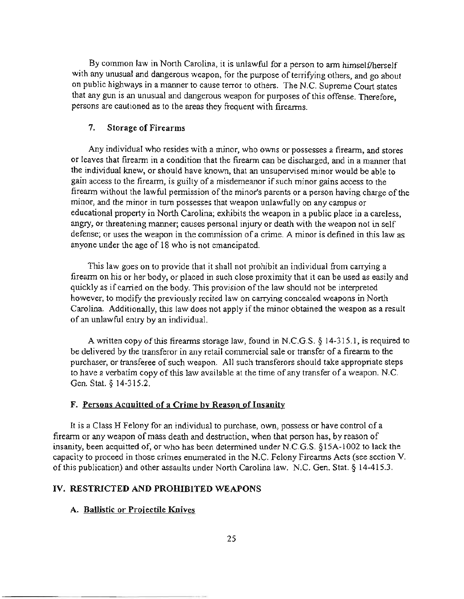By common law in North Carolina, it is unlawful for a person to arm himself/herself with any unusual and dangerous weapon, for the purpose of terrifying others, and go about on public highways in a marmer to cause terror to others. The N.C. Supreme Court states that any gun is an unusual and dangerous weapon for purposes of this offense. Therefore, persons are cautioned as to the areas they frequent with firearms.

#### 7. Storage of Firearms

Any individual who resides with a minor, who owns or possesses a firearm, and stores or leaves that fireann in a condition that the firearm can be discharged, and in a marmer that the individual knew, or should have known, that an unsupervised minor would be able to gain access to the firearm, is guilty of a misdemeanor if such minor gains access to the firearm without the lawful pennission of the minor's parents or a person having charge of the minor, and the minor in tum possesses that weapon unlawfully on any campus or educational property in North Carolina; exhibits the weapon in a public place in a careless, angry, or threatening manner; causes personal injury or death with the weapon not in self defense; or uses the weapon in the commission of a crime. A minor is defined in this law as anyone under the age of 18 who is not emancipated.

This law goes on to provide that it shall not prohibit an individual from carrying a firearm on his or her body, or placed in such close proximity that it can be used as easily and quickly as if carried on the body. This provision of the law should not be interpreted however, to modify the previously recited law on carrying concealed weapons in North Carolina. Additionally, this law does not apply if the minor obtained the weapon as a result of an unlawful entry by an individual.

A written copy of this fireanns storage law, found in N.C.G.S. § 14-315.1, is required to be delivered by the transferor in any retail commercial sale or transfer of a firearm to the purchaser, or transferee of such weapon. All such transferors should take appropriate steps to have a verbatim copy of this law available at the time of any transfer of a weapon. N.C. Gen. Stat. § 14-315.2.

#### F. Persons Acquitted of a Crime by Reason of Insanity

It is a Class H Felony for an individual to purchase, own, possess or have control of a firearm or any weapon of mass death and destruction, when that person has, by reason of insanity, been acquitted of, or who has been detennined under N.C.G.S. § 15A-lO02 to lack the capacity to proceed in those crimes enumerated in the N.C. Felony Fireanns Acts (see section V. of this publication) and other assaults under North Carolina law. N.C. Gen. Stat. § 14-415 .3.

## IV. RESTRICTED AND PROHIBITED WEAPONS

#### A. Ballistic or Projectile Knives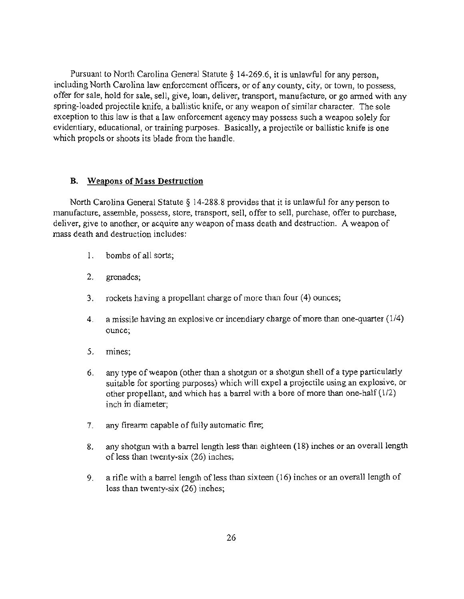Pursuant to North Carolina General Statute § 14-269.6, it is unlawful for any person, including North Carolina law enforcement officers, or of any county, city, or town, to possess, offer for sale, hold for sale, sell, give, loan, deliver, transport, manufacture, or go armed with any spring-loaded projectile knife, a ballistic knife, or any weapon of similar character. The sole exception to this law is that a law enforcement agency may possess such a weapon solely for evidentiary, educational, or training purposes. Basically, a projectile or ballistic knife is one which propels or shoots its blade from the handle.

## B. Weapons of Mass Destruction

North Carolina General Statute § 14-288.8 provides that it is unlawful for any person to manufacture, assemble, possess, store, transport, sell, offer to sell, purchase, offer to purchase, deliver, give to another, or acquire any weapon of mass death and destruction. A weapon of mass death and destruction includes:

- 1. bombs of all sorts;
- 2. grenades;
- 3. rockets having a propellant charge of more than four (4) ounces;
- 4. a missile having an explosive or incendiary charge of more than one-quarter (114) ounce;
- 5. mines;
- 6. any type of weapon (other than a shotgun or a shotgun shell of a type particularly suitable for sporting purposes) which will expel a projectile using an explosive, or other propellant, and which has a barrel with a bore of more than one-half  $(1/2)$ inch in diameter;
- 7. any firearm capable of fully automatic fire;
- 8. any shotgun with a barrel length less than eighteen (18) inches or an overall length of less than twenty-six (26) inches;
- 9. a rifle with a barrel length of less than sixteen (16) inches or an overall length of less than twenty-six (26) inches;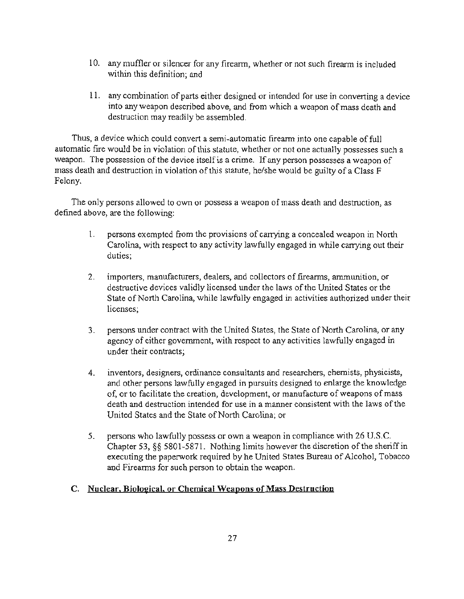- 10. any muffler or silencer for any firearm, whether or not such firearm is included within this definition; and
- 11. any combination of parts either designed or intended for use in converting a device into any weapon described above, and from which a weapon of mass death and destruction may readily be assembled.

Thus, a device which could convert a semi-automatic firearm into one capable of full automatic fire would be in violation of this statute, whether or not one actually possesses such a weapon. The possession of the device itself is a crime. If any person possesses a weapon of mass death and destruction in violation of this statute, he/she would be guilty of a Class F Felony.

The only persons allowed to own or possess a weapon of mass death and destruction, as defined above, are the following:

- 1. persons exempted from the provisions of carrying a concealed weapon in North Carolina, with respect to any activity lawfully engaged in while canying out their duties;
- 2. importers, manufacturers, dealers, and collectors of firearms, ammunition, or destructive devices validly licensed under the laws of the United States or the State of North Carolina, while lawfully engaged in activities authorized under their licenses;
- 3. persons under contract with the United States, the State of North Carolina, or any agency of either government, with respect to any activities lawfully engaged in under their contracts;
- 4. inventors, designers, ordinance consultants and researchers, chemists, physicists, and other persons lawfully engaged in pursuits designed to enlarge the knowledge of, or to facilitate the creation, development, or manufacture of weapons of mass death and destruction intended for use in a manner consistent with the laws of the United States and the State of North Carolina; or
- 5. persons who lawfully possess or own a weapon in compliance with 26 U.S.c. Chapter 53, §§ 5801-5871. Nothing limits however the discretion of the sheriff in executing the paperwork required by he United States Bureau of Alcohol, Tobacco and Fireanns for such person to obtain the weapon.

## C. Nuclear. Bioloeical, or Chemical Weapons of Mass Destruction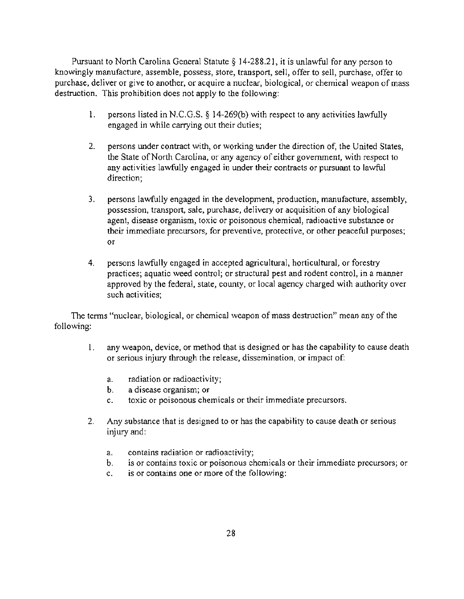Pursuant to North Carolina General Statute § 14-288.21 , it is unlawful for any person to knowingly manufacture, assemble, possess, store, transport, sell, offer to sell, purchase, offer to purchase, deliver or give to another, or acquire a nuclear, biological, or chemical weapon of mass destruction. This prohibition does not apply to the following:

- I. persons listed in N.C.G.S.  $\S$  14-269(b) with respect to any activities lawfully engaged in while carrying out their duties;
- 2. persons under contract with, or working under the direction of, the United States, the State of North Carolina, or any agency of either government, with respect to any activities lawfully engaged in under their contracts or pursuant to lawful direction;
- 3. persons lawfully engaged in the development, production, manufacture, assembly, possession, transport, sale, purchase, delivery or acquisition of any biological agent, disease organism, toxic or poisonous chemical, radioactive substance or their immediate precursors, for preventive, protective, or other peaceful purposes; or
- 4. persons lawfully engaged in accepted agricultural, horticultural, or forestry practices; aquatic weed control; or structural pest and rodent control, in a manner approved by the federal, state, county, or local agency charged with authority over such activities;

The terms "nuclear, biological, or chemical weapon of mass destruction" mean any of the following:

- 1. any weapon, device, or method that is designed or has the capability to cause death or serious injury through the release, dissemination, or impact of:
	- a. radiation or radioactivity;
	- b. a disease organism; or
	- c. toxic or poisonous chemicals or their immediate precursors.
- 2. Any substance that is designed to or has the capability to cause death or serious injury and:
	- a. contains radiation or radioactivity;
	- b. is or contains toxic or poisonous chemicals or their immediate precursors; or
	- c. is or contains one or more of the following: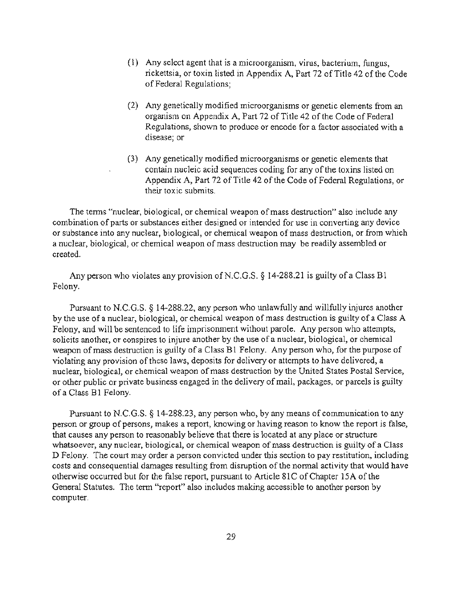- (1) Any select agent that is a microorganism, virus, bacterium, fungus, rickettsia, or toxin listed in Appendix A, Part 72 of Title 42 of the Code of Federal Regulations;
- (2) Any genetically modified microorganisms or genetic elements from an organism on Appendix A, Part 72 of Title 42 of the Code of Federal Regulations, shown to produce or encode for a factor associated with a disease; or
- (3) Any genetically modified microorganisms or genetic elements that contain nucleic acid sequences coding for any of the toxins listed on Appendix A, Part 72 of Title 42 of the Code of Federal Regulations, or their toxic submits.

The terms "nuclear, biological, or chemical weapon of mass destruction" also include any combination of parts or substances either designed or intended for use in converting any device or substance into any nuclear, biological, or chemical weapon of mass destruction, or from which a nuclear, biological, or chemical weapon of mass destruction may be readily assembled or created.

Any person who violates any provision of N.C.G.S.  $\S$  14-288.21 is guilty of a Class B1 Felony.

Pursuant to N.C.G.S. § 14-288.22, any person who unlawfully and willfully injures another by the use of a nuclear, biological, or chemical weapon of mass destruction is guilty of a Class A Felony, and will be sentenced to life imprisonment without parole. Any person who attempts, solicits another, or conspires to injure another by the use of a nuclear, biological, or chemical weapon of mass destruction is guilty of a Class Bl Felony. Any person who, for the purpose of violating any provision of these laws, deposits for delivery or attempts to have delivered, a nuclear, biological, or chemical weapon of mass destruction by the United States Postal Service, or other public or private business engaged in the delivery of mail, packages, or parcels is guilty ofa Class Bl Felony.

Pursuant to N.C.G.S. § 14-288.23, any person who, by any means of communication to any person or group of persons, makes a report, knowing or having reason to know the report is false, that causes any person to reasonably believe that there is located at any place or structure whatsoever, any nuclear, biological, or chemical weapon of mass destruction is guilty of a Class D Felony. The court may order a person convicted under this section to pay restitution, including costs and consequential damages resulting from disruption of the normal activity that would have otherwise occurred but for the false report, pursuant to Article SIC of Chapter 15A of the General Statutes. The term "report" also includes making accessible to another person by computer.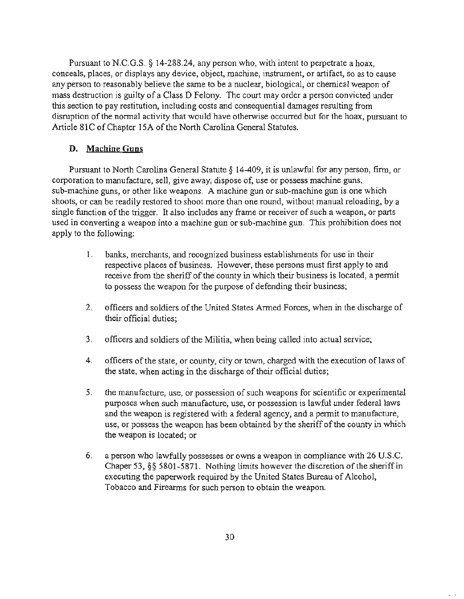Pursuant to N.C.G.S.  $\S$  14-288.24, any person who, with intent to perpetrate a hoax, conceals, places, or displays any device, object, machine, instrument, or artifact, so as to cause any person to reasonably believe the same to be a nuclear, biological, or chemical weapon of mass destruction is guilty of a Class 0 Felony. The court may order a person convicted under this section to pay restitution, including costs and consequential damages resulting from disruption of the normal activity that would have otherwise occurred but for the hoax, pursuant to Article 81C of Chapter 15A of the North Carolina General Statutes.

## D. Machine Guns

Pursuant to North Carolina General Statute  $\S$  14-409, it is unlawful for any person, firm, or corporation to manufacture, sell, give away, dispose of, use or possess machine guns, sub-machine guns, or other like weapons. A machine gun or sub-machine gun is one which shoots, or can be readily restored to shoot more than one round, without manual reloading, by a single function of the trigger. It also includes any frame or receiver of such a weapon, or parts used in converting a weapon into a machine gun or sub-machine gun. This prohibition does not apply to the following:

- 1. banks, merchants, and recognized business establishments for use in their respective places of business. However, these persons must first apply to and receive from the sheriff of the county in which their business is located, a permit to possess the weapon for the purpose of defending their business;
- 2. officers and soldiers of the United States Armed Forces, when in the discharge of their official duties;
- 3. officers and soldiers of the Militia, when being called into actual service;
- 4. officers of the state, or county, city or town, charged with the execution oflaws of the state, when acting in the discharge of their official duties;
- 5. the manufacture, use, or possession of such weapons for scientific or experimental purposes when such manufacture, use, or possession is lawful under federal laws and the weapon is registered with a federal agency, and a permit to manufacture, use, or possess the weapon has been obtained by the sheriff of the county in which the weapon is located; or
- 6. a person who lawfully possesses or owns a weapon in compliance with 26 U.S.C. Chaper 53. §§ 5801-5871. Nothing limits however the discretion of the sheriff in executing the paperwork required by the United States Bureau of Alcohol, Tobacco and Firearms for such person to obtain the weapon.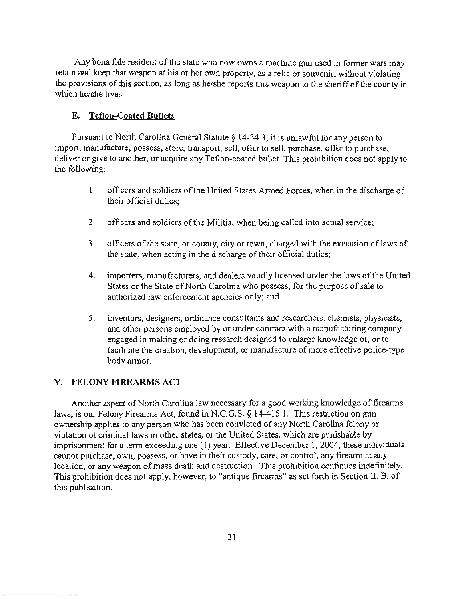Any bona fide resident of the state who now owns a machine gun used in fonner wars may retain and keep that weapon at his or her own property, as a relic or souvenir, without violating the provisions of this section, as long as he/she reports this weapon to the sheriff of the county in which he/she lives.

## **E. Teflon-Coated Bullets**

Pursuant to North Carolina General Statute § 14-34.3, it is unlawful for any person to import, manufacture, possess, store, transport, sell, offer to sell, purchase, offer to purchase, deliver or give to another, or acquire any Teflon-coated bulIet. This prohibition does not apply to the following:

- 1. officers and soldiers of the United States Armed Forces, when in the discharge of their official duties;
- 2. officers and soldiers of the Militia, when being called into actual service;
- 3. officers of the state, or county, city or town, charged with the execution of laws of the state, when acting in the discharge of their official duties;
- 4. importers, manufacturers, and dealers validly licensed under the laws of the United States or the State of North Carolina who possess, for the purpose of sale to authorized law enforcement agencies only; and
- 5. inventors, designers, ordinance consultants and researchers, chemists, physicists, and other persons employed by or under contract with a manufacturing company engaged in making or doing research designed to enlarge knowledge of, or to facilitate the creation, development, or manufacture of more effective police-type body armor.

## v. FELONY FIREARMS ACT

Another aspect of North Carolina law necessary for a good working knowledge of firearms laws, is our Felony Firearms Act, found in N.C.G.S. § 14-415.1. This restriction on gun ownership applies to any person who has been convicted of any North Carolina felony or violation of criminal laws in other states, or the United States, which are punishable by imprisonment for a term exceeding one (1) year. Effective December 1, 2004, these individuals cannot purchase, own, possess, or have in their custody, care, or control, any firearm at any location, or any weapon of mass death and destruction. This prohibition continues indefinitely. This prohibition does not apply, however, to "antique firearms" as set forth in Section II. B. of this publication.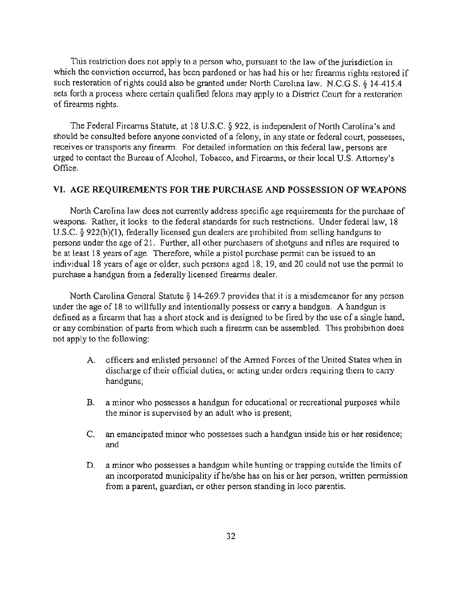This restriction does not apply to a person who, pursuant to the law of the jurisdiction in which the conviction occurred, has been pardoned or has had his or her firearms rights restored if such restoration of rights could also be granted under North Carolina law. N.C.G.S. § 14-415.4 sets forth a process where certain qualified felons may apply to a District Court for a restoration of firearms rights.

The Federal Firearms Statute, at 18 U.S.C. § 922, is independent of North Carolina's and should be consulted before anyone convicted of a felony, in any state or federal court, possesses, receives or transports any firearm. For detailed information on this federal law, persons are urged to contact the Bureau of Alcohol, Tobacco, and Firearms, or their local U.S. Attorney's Office.

#### VI. AGE REQUIREMENTS FOR THE PURCHASE AND POSSESSION OF WEAPONS

North Carolina law does not currently address specific age requirements for the purchase of weapons. Rather, it looks to the federal standards for such restrictions. Under federal law, 18 U.S.c. § 922{b)(1), federally licensed gun dealers are prohibited from selling handguns to persons under the age of21. Further, all other purchasers of shotguns and rifles are required to be at least 18 years of age. Therefore, while a pistol purchase permit can be issued to an individual 18 years of age or older, such persons aged 18, 19, and 20 could not use the permit to purchase a handgun from a federally licensed firearms dealer.

North Carolina General Statute § 14-269.7 provides that it is a misdemeanor for any person under the age of 18 to willfully and intentionally possess or carry a handgun. A handgun is defined as a firearm that has a short stock and is designed to be fired by the use of a single hand, or any combination of parts from which such a firearm can be assembled. This prohibition does not apply to the following:

- A. officers and enlisted personnel of the Armed Forces of the United States when in discharge of their official duties, or acting under orders requiring them to carry handguns;
- B. a minor who possesses a handgun for educational or recreational purposes while the minor is supervised by an adult who is present;
- C. an emancipated minor who possesses such a handgun inside his or her residence; and
- D. a minor who possesses a handgun while hunting or trapping outside the limits of an incorporated municipality ifhe/she has on his or her person, written permission from a parent, guardian, or other person standing in loco parentis.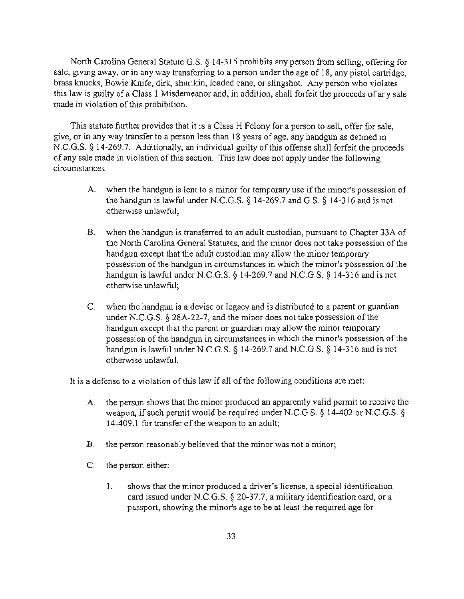North Carolina General Statute G.S. § 14-315 prohibits any person from selling, offering for sale, giving away, or in any way transferring to a person under the age of 18, any pistol cartridge, brass knucks, Bowie Knife, dirk, shurikin, loaded cane, or slingshot. Any person who violates this law is guilty of a Class 1 Misdemeanor and, in addition, shall forfeit the proceeds of any sale made in violation of this prohibition.

This statute further provides that it is a Class H Felony for a person to sell, offer for sale, give. or in any way transfer to a person less than 18 years of age, any handgun as defined in N.C.G.S. § 14-269.7. Additionally, an individual guilty of this offense shall forfeit the proceeds of any sale made in violation of this section. This law does not apply under the following circumstances:

- A. when the handgun is lent to a minor for temporary use if the minor's possession of the handgun is lawful under N.C.G.S.  $\S$  14-269.7 and G.S.  $\S$  14-316 and is not otherwise unlawful;
- B. when the handgun is transferred to an adult custodian, pursuant to Chapter 33A of the North Carolina General Statutes, and the minor does not take possession of the handgun except that the adult custodian may allow the minor temporary possession of the handgun in circumstances in which the minor's possession of the handgun is lawful under N.C.G.S.  $\S$  14-269.7 and N.C.G.S.  $\S$  14-316 and is not otherwise unlawful;
- C. when the handgun is a devise or legacy and is distributed to a parent or guardian under N.C.G.S. § 28A-22-7, and the minor does not take possession of the handgun except that the parent or guardian may allow the minor temporary possession of the handgun in circumstances in which the minor's possession of the handgun is lawful under N.C.G.S.  $\S$  14-269.7 and N.C.G.S.  $\S$  14-316 and is not otherwise unlawful.

It is a defense to a violation of this law if all of the following conditions are met:

- A. the person shows that the minor produced an apparently valid permit to receive the weapon, if such permit would be required under N.C.G.S. § 14-402 or N.C.G.S. § 14-409.1 for transfer of the weapon to an adult;
- B. the person reasonably believed that the minor was not a minor;
- C. the person either:
	- 1. shows that the minor produced a driver's license, a special identification card issued under N.C.G.S. § 20-37.7, a military identification card, or a passport, showing the minor's age to be at least the required age for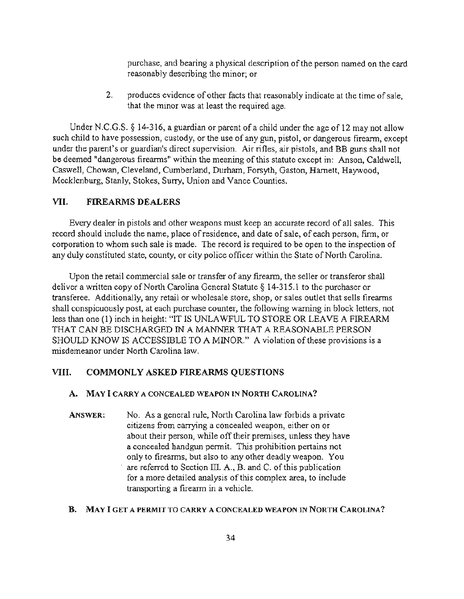purchase, and bearing a physical description of the person named on the card reasonably describing the minor; or

2. produces evidence of other facts that reasonably indicate at the time of sale, that the minor was at least the required age.

Under N.C.G.S.  $\S$  14-316, a guardian or parent of a child under the age of 12 may not allow such child to have possession, custody, or the use of any gun, pistol, or dangerous firearm, except under the parent's or guardian's direct supervision. Air rifles, air pistols, and BB guns shall not be deemed "dangerous firearms" within the meaning of this statute except in: Anson, Caldwell, Caswell, Chowan, Cleveland, Cumberland, Durham, Forsyth, Gaston, Harnett, Haywood, Mecklenburg, Stanly, Stokes, Surry, Union and Vance Counties.

#### VII. FIREARMS DEALERS

Every dealer in pistols and other weapons must keep an accurate record of all sales. This record should include the name, place of residence, and date of sale, of each person, firm, or corporation to whom such sale is made. The record is required to be open to the inspection of any duly constituted state, county, or city police officer within the State of North Carolina.

Upon the retail commercial sale or transfer of any firearm, the seller or transferor shall deliver a written copy of North Carolina General Statute § 14-315.1 to the purchaser or transferee. Additionally, any retail or wholesale store, shop, or sales outlet that sells firearms shall conspicuously post, at each purchase counter, the following warning in block letters, not less than one (I) inch in height: "IT IS UNLAWFUL TO STORE OR LEAVE A FIREARM THAT CAN BE DISCHARGED IN A MANNER THAT A REASONABLE PERSON SHOULD KNOW IS ACCESSIBLE TO A MINOR." A violation of these provisions is a misdemeanor under North Carolina law.

## VIII. COMMONLY ASKED FIREARMS QUESTIONS

#### A. MAY I CARRY A CONCEALED WEAPON IN NORTH CAROLINA?

ANSWER: No. As a general rule, North Carolina law forbids a private citizens from carrying a concealed weapon, either on or about their person, while off their premises, unless they have a concealed handgun pennit. This prohibition pertains not only to firearms, but also to any other deadly weapon. You are referred to Section III. A., B. and C. of this publication for a more detailed analysis of this complex area, to include transporting a firearm in a vehicle.

#### B. MAY I GET A PERMIT TO CARRY A CONCEALED WEAPON IN NORTH CAROLINA?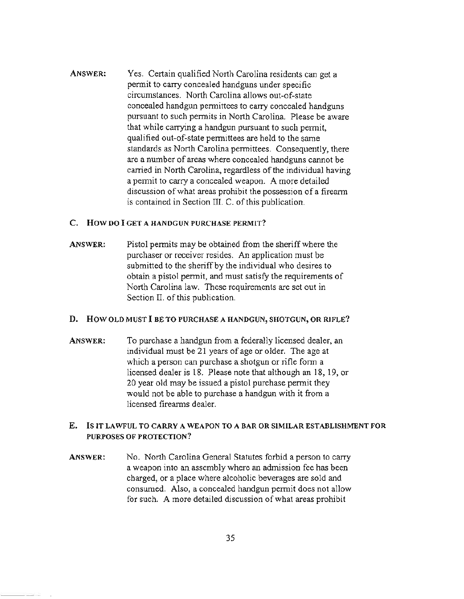ANSWER: Yes. Certain qualified North Carolina residents can get a permit to carry concealed handguns under specific circumstances. North Carolina allows out-of-state concealed handgun permittees to carry concealed handguns pursuant to such permits in North Carolina. Please be aware that while carrying a handgun pursuant to such permit, qualified out-of-state permittees are held to the same standards as North Carolina permittees. Consequently, there are a number of areas where concealed handguns cannot be carried in North Carolina. regardless of the individual having a pennit to carry a concealed weapon. A more detailed discussion of what areas prohibit the possession of a firearm is contained in Section III. C. of this publication.

### c. How DO I GET A HANDGUN PURCHASE PERMIT?

ANSWER: Pistol permits may be obtained from the sheriff where the purchaser or receiver resides. An application must be submitted to the sheriff by the individual who desires to obtain a pistol pennit, and must satisfy the requirements of North Carolina law. These requirements are set out in Section II. of this publication.

#### D. How OLD MUST I 8E TO PURCHASE A HANDGUN, SHOTGUN, OR RIFLE?

ANSWER: To purchase a handgun from a federally licensed dealer, an individual must be 21 years of age or older. The age at which a person can purchase a shotgun or rifle fonn a licensed dealer is 18. Please note that although an 18, 19, or 20 year old may be issued a pistol purchase pennit they would not be able to purchase a handgun with it from a licensed firearms dealer.

## E. Is IT LAWFUL TO CARRY A WEAPON TO A BAR OR SIMILAR ESTABLISHMENT FOR PURPOSES OF PROTECTION?

ANSWER: No. North Carolina General Statutes forbid a person to carry a weapon into an assembly where an admission fee has been charged, or a place where alcoholic beverages are sold and consumed. Also, a concealed handgun permit does not allow for such. A more detailed discussion of what areas prohibit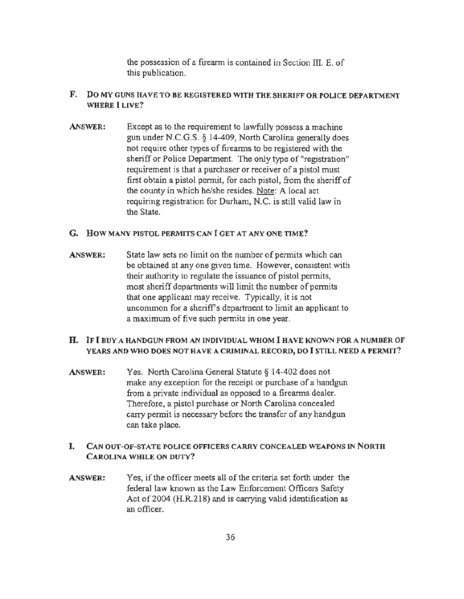the possession of a firearm is contained in Section III. E. of this publication.

## F. Do MY GUNS HAVE TO BE REGISTERED WITH THE SHERIFF OR POLICE DEPARTMENT WHERE **I** LIVE?

ANSWER: Except as to the requirement to lawfully possess a machine gun under N.C.G.S. § 14-409, North Carolina generally does not require other types of firearms to be registered with the sheriff or Police Department. The only type of "registration" requirement is that a purchaser or receiver of a pistol must first obtain a pistol permit, for each pistol, from the sheriff of the county in which he/she resides. Note: A local act requiring registration for Durham, N.C. is still valid law in the State.

## G. How MANY PISTOL PERMITS CAN I GET AT ANY ONE TIME?

ANSWER: State law sets no limit on the number of permits which can be obtained at anyone given time. However, consistent with their authority to regulate the issuance of pistol permits, most sheriff departments will limit the number of permits that one applicant may receive. Typically, it is not uncommon for a sheriff's department to limit an applicant to a maximum of five such permits in one year.

## H. IF I BUY A HANDGUN FROM AN INDIVIDUAL WHOM I HAVE KNOWN FOR A NUMBER OF YEARS AND WHO DOES NOT HAVE A CRIMINAL RECORD, DO I STILL NEED A PERMIT?

ANSWER: Yes. North Carolina General Statute § 14-402 does not make any exception for the receipt or purchase of a handgun from a private individual as opposed to a firearms dealer. Therefore, a pistol purchase or North Carolina concealed carry permit is necessary before the transfer of any handgun can take place.

## I. CAN OUT-Of-STATE POLICE OFFICERS CARRY CONCEALED WEAPONS IN NORTH CAROLINA WHILE ON DUTY?

ANSWER: Yes, if the officer meets all of the criteria set forth under the federal law known as the Law Enforcement Officers Safety Act of 2004 (H.R.218) and is carrying valid identification as an officer.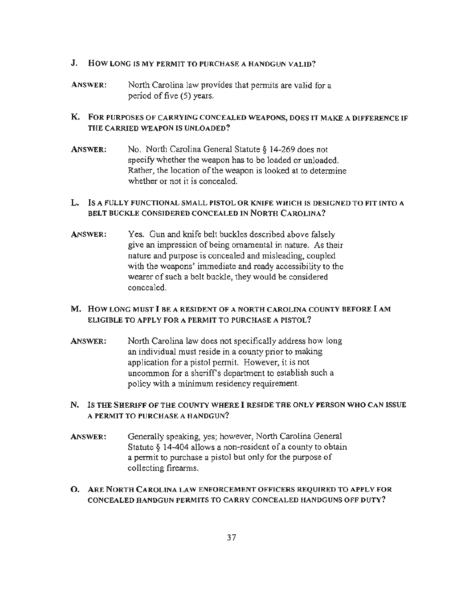## J. HOw LONG IS MY PERMIT TO PURCHASE A HANDGUN VALID?

ANSWER: North Carolina law provides that permits are valid for a period of five (5) years.

## K. FOR PURPOSES OF CARRYING CONCEALED WEAPONS, DOES IT MAKE A DIFFERENCE IF THE CARRIED WEAPON IS UNLOADED?

ANSWER: No. North Carolina General Statute § 14-269 does not specify whether the weapon has to be loaded or unloaded. Rather, the location of the weapon is looked at to detennine whether or not it is concealed.

## L. Is A FULLY FUNCTIONAL SMALL PISTOL OR KNIFE WHICH IS DESIGNED TO FIT INTO A BELT BUCKLE CONSIDERED CONCEALED IN NORTH CAROLINA?

ANSWER: Yes. Gun and knife belt buckles described above falsely give an impression of being ornamental in nature. As their nature and purpose is concealed and misleading, coupled with the weapons' immediate and ready accessibility to the wearer of such a belt buckle, they would be considered concealed.

## M. How LONG MUST I BE A RESIDENT OF A NORTH CAROLINA COUNTY BEFORE I AM ELIGIBLE TO APPLY FOR A PERMIT TO PURCHASE A PISTOL?

ANSWER: North Carolina law does not specifically address how long an individual must reside in a county prior to making application for a pistol permit. However, it is not uncommon for a sheriffs department to establish such a policy with a minimum residency requirement.

## N. Is THE SHERIFF OF THE COUNTY WHERE I RESIOE THE ONLY PERSON WHO CAN ISSUE A PERMIT TO PURCHASE A HANDGUN?

- ANSWER: Generally speaking, yes; however, North Carolina General Statute  $\frac{14-404}{10}$  allows a non-resident of a county to obtain a pennit to purchase a pistol but only for the purpose of collecting fireanns.
- O. ARE NORTH CAROLINA LAW ENFORCEMENT OFFICERS REQUIRED TO APPLY FOR CONCEALED HANDGUN PERMITS TO CARRY CONCEALED HANDGUNS OFF DUTY?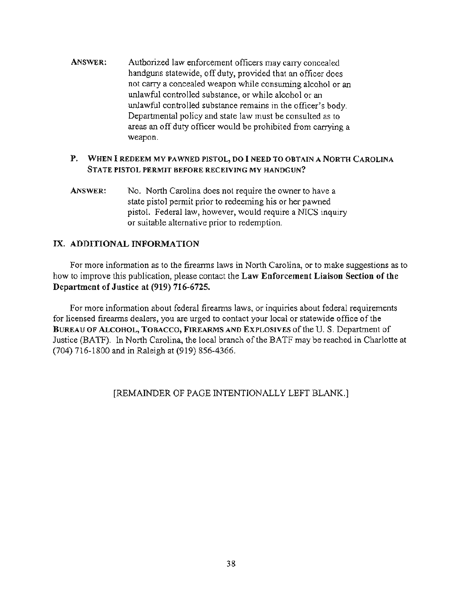ANSWER: Authorized law enforcement officers may carry concealed handguns statewide, off duty, provided that an officer does not carry a concealed weapon while consuming alcohol or an unlawful controlled substance, or while alcohol or an unlawful controlled substance remains in the officer's body. Departmental policy and state law must be consulted as to areas an off duty officer would be prohibited from carrying a weapon.

## P. WHEN I REDEEM MY PAWNED PISTOL, DO I NEED TO OBTAIN A NORTH CAROLINA STATE PISTOL PERMIT BEFORE RECEIVING MY HANDGUN?

ANSWER: No. North Carolina does not require the owner to have a state pistol permit prior to redeeming his or her pawned pistol. Federal law, however, would require a NICS inquiry or suitable alternative prior to redemption.

## IX. ADDITIONAL INFORMATION

For more information as to the firearms laws in North Carolina, or to make suggestions as to how to improve this publication, please contact the Law Enforcement Liaison Section of the Department of Justice at (919) 716-6725.

For more information about federal firearms laws, or inquiries about federal requirements for licensed firearms dealers, you are urged to contact your local or statewide office of the BUREAU OF ALCOHOL, TOBACCO, FIREARMS AND EXPLOSIVES of the U.S. Department of Justice (BATF). In North Carolina, the local branch of the BATF may be reached in Charlotte at (704) 716-1800 and in Raleigh at (919) 856-4366.

## [REMAINDER OF PAGE INTENTIONALLY LEFT BLANK.]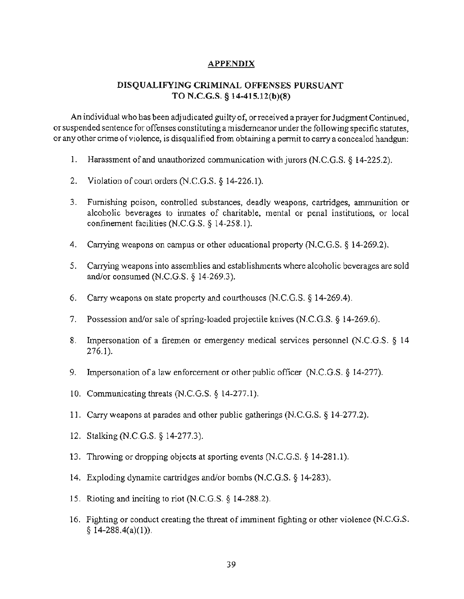## APPENDIX

## DISQUALIFYING CRIMINAL OFFENSES PURSUANT TO N.C.G.S. § 14-4IS.I2(b)(8)

An individual who has been adjudicated guilty of, orreceived a prayer for Judgment Continued, or suspended sentence for offenses constituting a misdemeanor under the following specific statutes, or any other crime of violence. is disqualified from obtaining a pennit to carry a concealed handgun:

- 1. Harassment of and unauthorized communication with jurors (N.C.G.S. § 14-225.2).
- 2. Violation of court orders (N.c.G.S. § 14-226.1).
- 3. Furnishing poison, controlled substances, deadly weapons, cartridges, ammunition or alcoholic beverages to inmates of charitable, mental or penal institutions, or local confinement facilities (N.C.G.S. § 14-258.1).
- 4. Carrying weapons on campus or other educational property (N.C.G.S. § 14-269.2).
- 5. Carrying weapons into assemblies and establishments where alcoholic beverages are sold and/or consumed (N.C.G.S. § 14·269.3).
- 6. Carry weapons on state property and courthouses  $(N.C.G.S. § 14-269.4)$ .
- 7. Possession and/or sale of spring-loaded projectile knives (N.C.G.s. § 14-269.6).
- 8. Impersonation of a firemen or emergency medical services personnel (N.C.G.S. § 14 276.1 ).
- 9. Impersonation of a law enforcement or other public officer (N.C.G.S. § 14-277).
- 10. Communicating threats (N.C.G.S. § 14-277.1).
- II. Carry weapons at parades and other public gatherings (N.c.G.S. § 14-277.2).
- 12. Stalking (N.c.G.S. § 14-277.3).
- 13. Throwing or dropping objects at sporting events  $(N.C.G.S. § 14-281.1)$ .
- 14. Exploding dynamite cartridges and/or bombs (N.C.G.S. § 14-283).
- 15. Rioting and inciting to riot (N.C.G.S. § 14-288.2).
- 16. Fighting or conduct creating the threat of imminent fighting or other violence (N.c.G.S.  $§ 14-288.4(a)(1)).$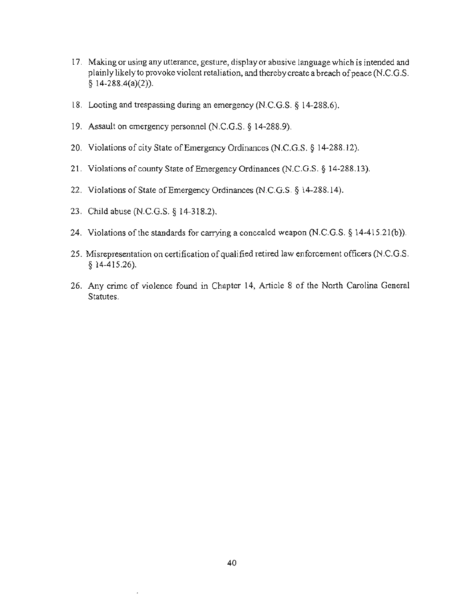- 17. Making or using any utterance, gesture, display or abusive language which is intended and plainly likely to provoke violent retaliation, and thereby create a breach of peace (N.C.G.S.  $§ 14-288.4(a)(2)).$
- 18. Looting and trespassing during an emergency (N.C.G.S.  $\S$  14-288.6).
- 19. Assault on emergency personnel (N.C.G.s. § 14-288.9).
- 20. Violations of city State of Emergency Ordinances (N.C.G.S. § 14-288.12).
- 21. Violations of county State of Emergency Ordinances (N.C.G.S. § 14-288.13).
- 22. Violations of State of Emergency Ordinances (N.C.G.S. § 14-288.14).
- 23. Child abuse (N.C.G.S. § 14-318.2).

 $\overline{\phantom{a}}$ 

- 24. Violations of the standards for carrying a concealed weapon  $(N.C.G.S. § 14-415.21(b))$ .
- 25. Misrepresentation on certification of qualified retired law enforcement officers (N.C.G.S. § 14-415.26).
- 26. Any crime of violence found in Chapter 14, Article 8 of the North Carolina General Statutes.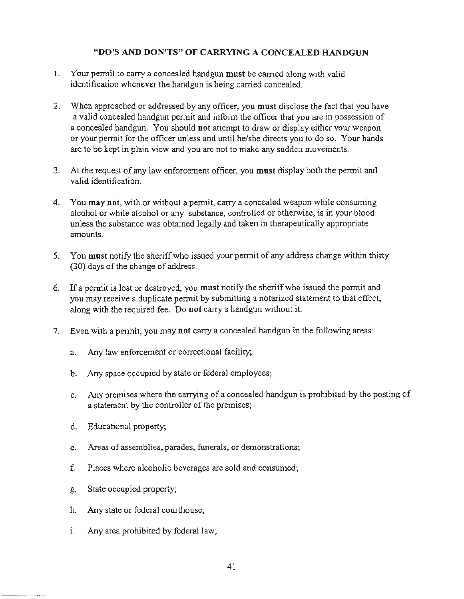## "DO'S AND DON'TS" OF CARRYING A CONCEALED HANDGUN

- 1. Your permit to carry a concealed handgun must be carried along with valid identification whenever the handgun is being carried concealed.
- 2. When approached or addressed by any officer, you must disclose the fact that you have a valid concealed handgun permit and inform the officer that you are in possession of a concealed handgun. You should not attempt to draw or display either your weapon or your permit for the officer unless and until he/she directs you to do so. Your hands are to be kept in plain view and you are not to make any sudden movements.
- 3. At the request of any law enforcement officer, you must display both the permit and valid identification.
- 4. You may not, with or without a permit, carry a concealed weapon while consuming alcohol or while alcohol or any substance, controlled or otherwise, is in your blood unless the substance was obtained legally and taken in therapeutically appropriate amounts.
- 5. You must notify the sheriff who issued your permit of any address change within thirty (30) days of the change of address.
- 6. Ifa pennit is lost or destroyed, you must notify the sheriff who issued the pennit and you may receive a duplicate pennit by submitting a notarized statement to that effect, along with the required fee. Do not carry a handgun without it.
- 7. Even with a permit, you may not carry a concealed handgun in the following areas:
	- a. Any law enforcement or correctional facility;
	- b. Any space occupied by state or federal employees;
	- c. Any premises where the carrying of a concealed handgun is prohibited by the posting of a statement by the controller of the premises;
	- d. Educational property;
	- e. Areas of assemblies, parades, funerals, or demonstrations;
	- f. Places where alcoholic beverages are sold and consumed;
	- g. State occupied property;
	- h. Any state or federal courthouse;
	- i. Any area prohibited by federal law;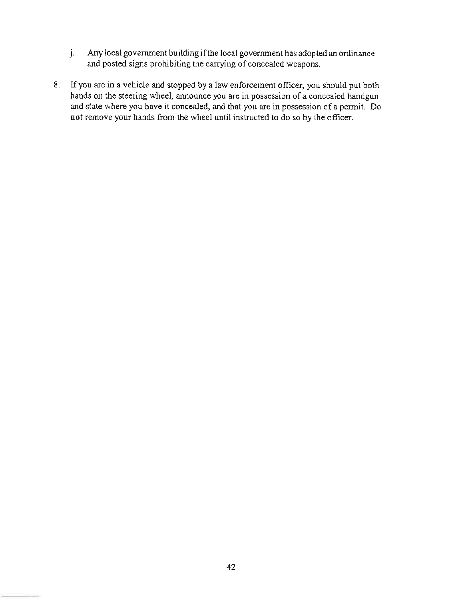- J. Any local government building ifthe local government has adopted an ordinance and posted signs prohibiting the carrying of concealed weapons.
- 8. If you are in a vehicle and stopped by a law enforcement officer, you should put both hands on the steering wheel, announce you are in possession of a concealed handgun and state where you have it concealed, and that you are in possession of a permit. Do not remove your hands from the wheel until instructed to do so by the officer.